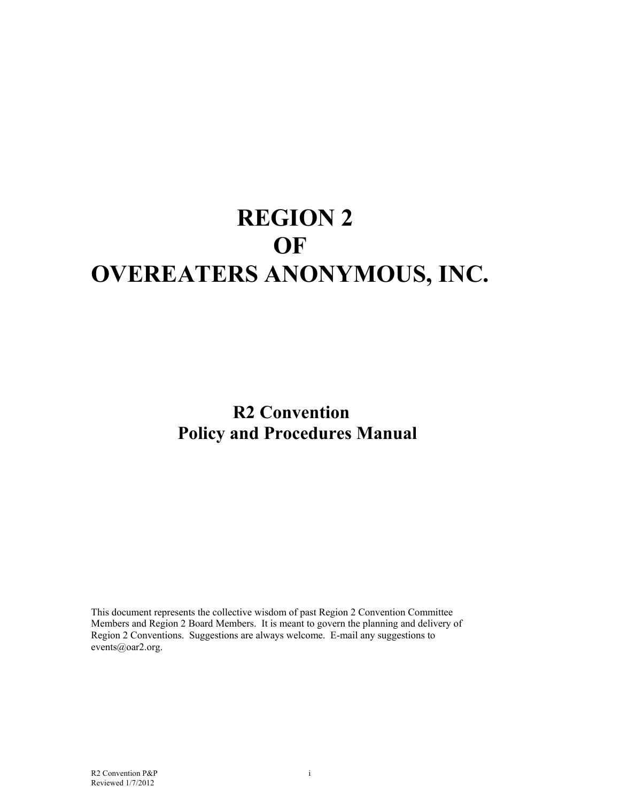# **REGION 2 OF OVEREATERS ANONYMOUS, INC.**

 **R2 Convention Policy and Procedures Manual** 

This document represents the collective wisdom of past Region 2 Convention Committee Members and Region 2 Board Members. It is meant to govern the planning and delivery of Region 2 Conventions. Suggestions are always welcome. E-mail any suggestions to events@oar2.org.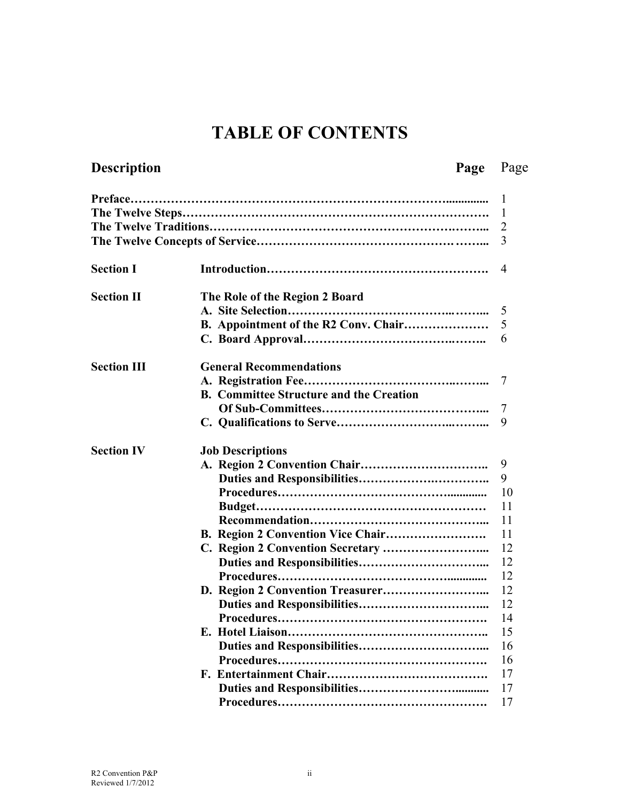# **TABLE OF CONTENTS**

# **Description**

# Page Page

|                    |                                                | 1  |
|--------------------|------------------------------------------------|----|
|                    |                                                | 1  |
|                    |                                                | 2  |
|                    |                                                | 3  |
|                    |                                                |    |
| <b>Section I</b>   |                                                | 4  |
| <b>Section II</b>  | The Role of the Region 2 Board                 |    |
|                    |                                                | 5  |
|                    | B. Appointment of the R2 Conv. Chair           | 5  |
|                    |                                                | 6  |
| <b>Section III</b> | <b>General Recommendations</b>                 |    |
|                    |                                                | 7  |
|                    | <b>B. Committee Structure and the Creation</b> |    |
|                    |                                                | 7  |
|                    |                                                | 9  |
| <b>Section IV</b>  | <b>Job Descriptions</b>                        |    |
|                    |                                                | 9  |
|                    |                                                | 9  |
|                    |                                                | 10 |
|                    |                                                | 11 |
|                    |                                                | 11 |
|                    |                                                | 11 |
|                    |                                                | 12 |
|                    |                                                | 12 |
|                    |                                                | 12 |
|                    |                                                | 12 |
|                    |                                                | 12 |
|                    |                                                | 14 |
|                    |                                                | 15 |
|                    |                                                | 16 |
|                    |                                                | 16 |
|                    |                                                | 17 |
|                    |                                                | 17 |
|                    |                                                | 17 |
|                    |                                                |    |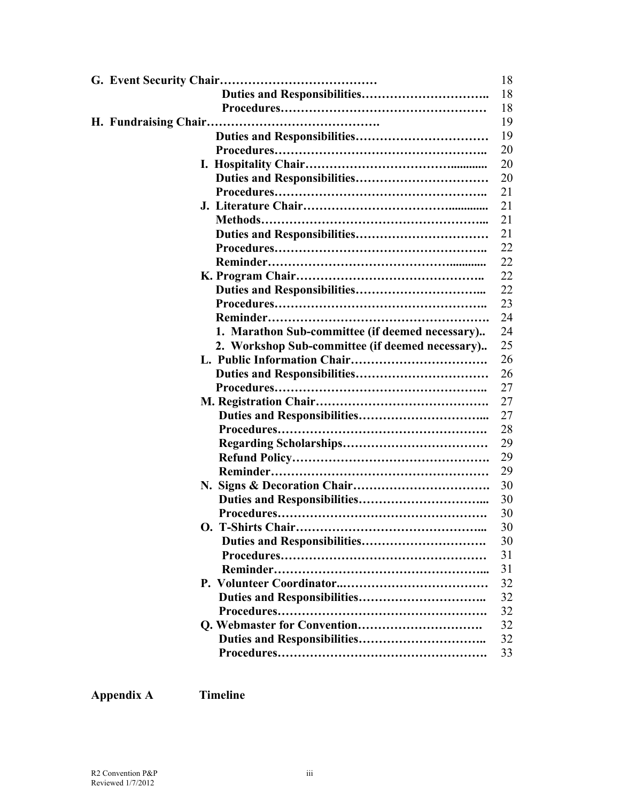|                                                 | 18       |
|-------------------------------------------------|----------|
|                                                 | 18       |
|                                                 | 18       |
|                                                 | 19       |
|                                                 | 19       |
|                                                 | 20       |
|                                                 | 20       |
|                                                 | 20       |
|                                                 | 21       |
|                                                 | 21       |
|                                                 | 21       |
|                                                 | 21       |
|                                                 | 22       |
|                                                 | 22       |
|                                                 | 22       |
|                                                 | 22       |
|                                                 | 23       |
|                                                 | 24       |
| 1. Marathon Sub-committee (if deemed necessary) | 24       |
| 2. Workshop Sub-committee (if deemed necessary) | 25       |
|                                                 | 26       |
|                                                 | 26       |
|                                                 | 27       |
|                                                 | 27       |
|                                                 | 27       |
|                                                 | 28       |
|                                                 | 29       |
|                                                 | 29       |
|                                                 | 29       |
|                                                 | 30       |
|                                                 | 30       |
|                                                 | 30       |
|                                                 | 30       |
|                                                 | 30       |
|                                                 | 31       |
|                                                 | 31       |
|                                                 | 32       |
|                                                 | 32       |
|                                                 | 32<br>32 |
|                                                 | 32       |
|                                                 | 33       |
|                                                 |          |

# **Appendix A Timeline**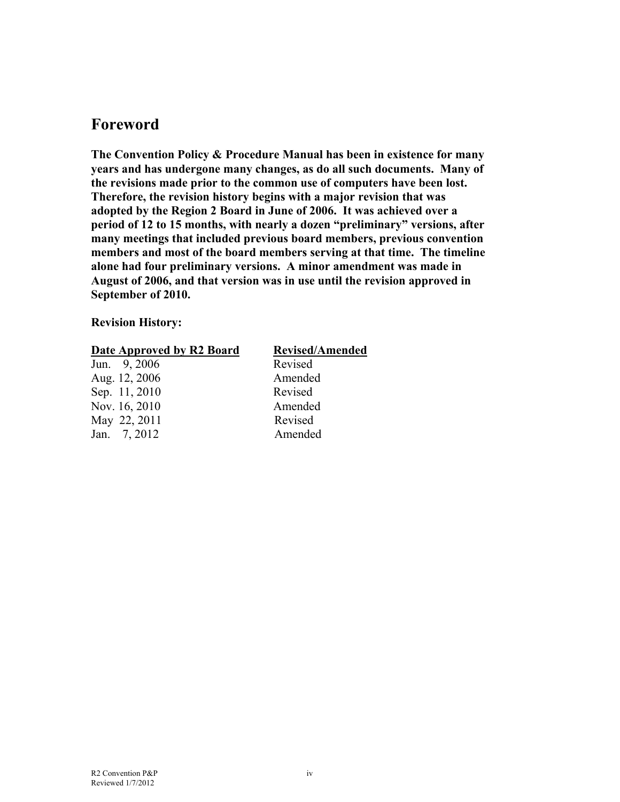### **Foreword**

**The Convention Policy & Procedure Manual has been in existence for many years and has undergone many changes, as do all such documents. Many of the revisions made prior to the common use of computers have been lost. Therefore, the revision history begins with a major revision that was adopted by the Region 2 Board in June of 2006. It was achieved over a period of 12 to 15 months, with nearly a dozen "preliminary" versions, after many meetings that included previous board members, previous convention members and most of the board members serving at that time. The timeline alone had four preliminary versions. A minor amendment was made in August of 2006, and that version was in use until the revision approved in September of 2010.** 

#### **Revision History:**

|  | Date Approved by R2 Board |  |
|--|---------------------------|--|
|--|---------------------------|--|

Jun. 9, 2006 Revised Aug. 12, 2006 Amended Sep. 11, 2010 Revised Nov. 16, 2010 Amended May 22, 2011 Revised

#### **Revised/Amended**

Jan. 7, 2012 Amended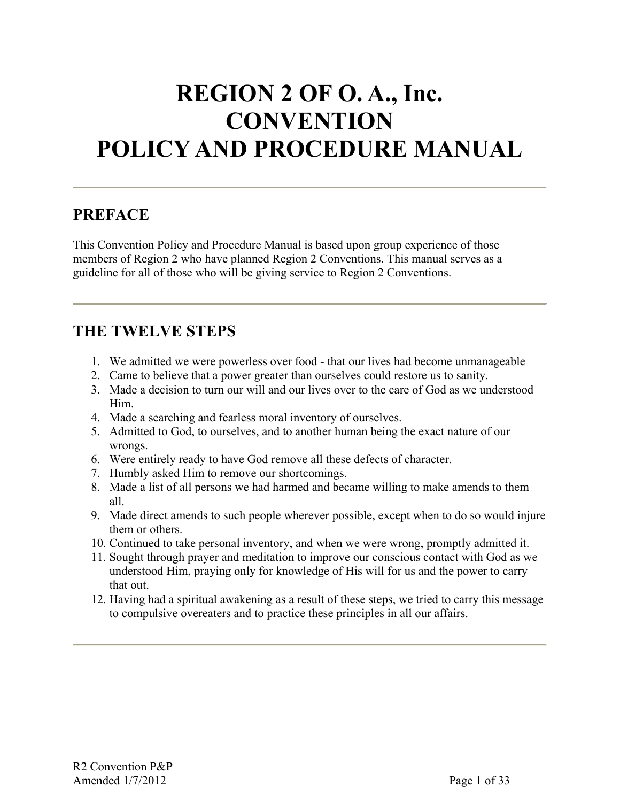# **REGION 2 OF O. A., Inc. CONVENTION POLICY AND PROCEDURE MANUAL**

# **PREFACE**

This Convention Policy and Procedure Manual is based upon group experience of those members of Region 2 who have planned Region 2 Conventions. This manual serves as a guideline for all of those who will be giving service to Region 2 Conventions.

# **THE TWELVE STEPS**

- 1. We admitted we were powerless over food that our lives had become unmanageable
- 2. Came to believe that a power greater than ourselves could restore us to sanity.
- 3. Made a decision to turn our will and our lives over to the care of God as we understood Him.
- 4. Made a searching and fearless moral inventory of ourselves.
- 5. Admitted to God, to ourselves, and to another human being the exact nature of our wrongs.
- 6. Were entirely ready to have God remove all these defects of character.
- 7. Humbly asked Him to remove our shortcomings.
- 8. Made a list of all persons we had harmed and became willing to make amends to them all.
- 9. Made direct amends to such people wherever possible, except when to do so would injure them or others.
- 10. Continued to take personal inventory, and when we were wrong, promptly admitted it.
- 11. Sought through prayer and meditation to improve our conscious contact with God as we understood Him, praying only for knowledge of His will for us and the power to carry that out.
- 12. Having had a spiritual awakening as a result of these steps, we tried to carry this message to compulsive overeaters and to practice these principles in all our affairs.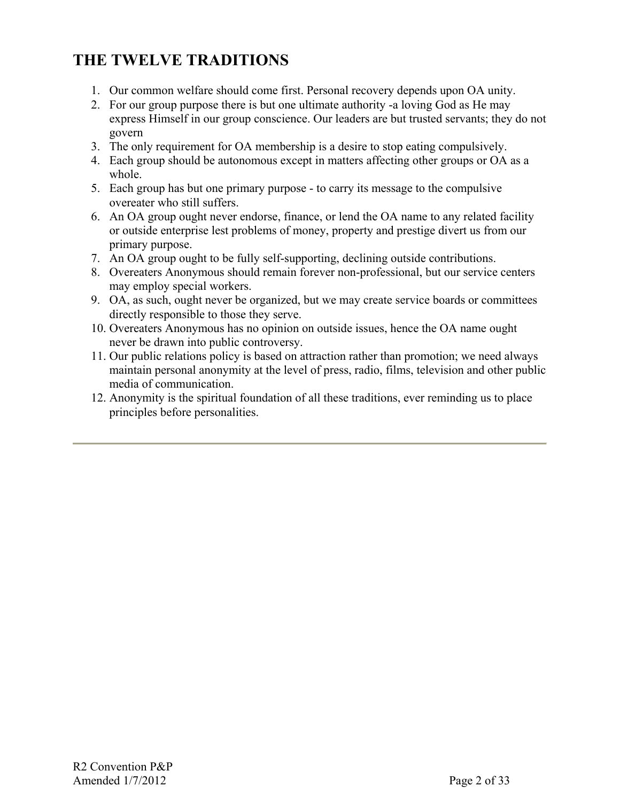# **THE TWELVE TRADITIONS**

- 1. Our common welfare should come first. Personal recovery depends upon OA unity.
- 2. For our group purpose there is but one ultimate authority -a loving God as He may express Himself in our group conscience. Our leaders are but trusted servants; they do not govern
- 3. The only requirement for OA membership is a desire to stop eating compulsively.
- 4. Each group should be autonomous except in matters affecting other groups or OA as a whole.
- 5. Each group has but one primary purpose to carry its message to the compulsive overeater who still suffers.
- 6. An OA group ought never endorse, finance, or lend the OA name to any related facility or outside enterprise lest problems of money, property and prestige divert us from our primary purpose.
- 7. An OA group ought to be fully self-supporting, declining outside contributions.
- 8. Overeaters Anonymous should remain forever non-professional, but our service centers may employ special workers.
- 9. OA, as such, ought never be organized, but we may create service boards or committees directly responsible to those they serve.
- 10. Overeaters Anonymous has no opinion on outside issues, hence the OA name ought never be drawn into public controversy.
- 11. Our public relations policy is based on attraction rather than promotion; we need always maintain personal anonymity at the level of press, radio, films, television and other public media of communication.
- 12. Anonymity is the spiritual foundation of all these traditions, ever reminding us to place principles before personalities.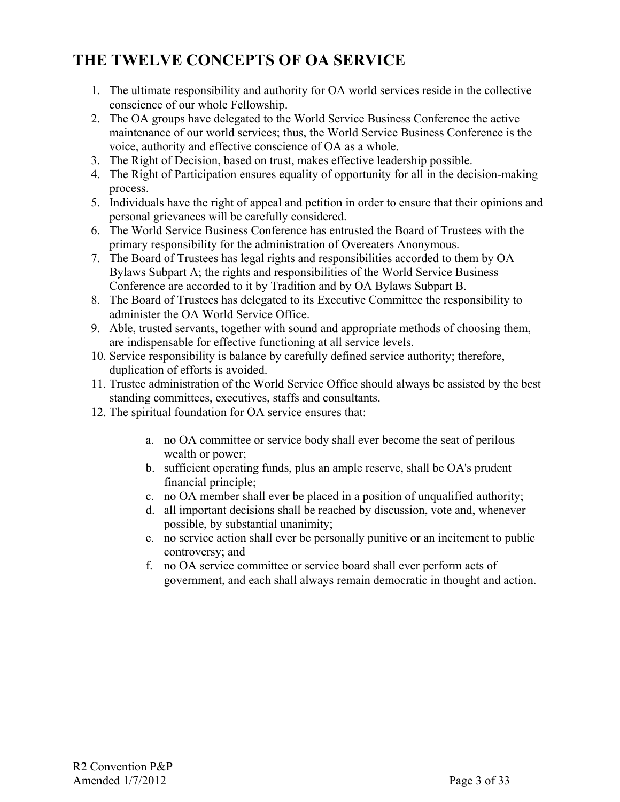# **THE TWELVE CONCEPTS OF OA SERVICE**

- 1. The ultimate responsibility and authority for OA world services reside in the collective conscience of our whole Fellowship.
- 2. The OA groups have delegated to the World Service Business Conference the active maintenance of our world services; thus, the World Service Business Conference is the voice, authority and effective conscience of OA as a whole.
- 3. The Right of Decision, based on trust, makes effective leadership possible.
- 4. The Right of Participation ensures equality of opportunity for all in the decision-making process.
- 5. Individuals have the right of appeal and petition in order to ensure that their opinions and personal grievances will be carefully considered.
- 6. The World Service Business Conference has entrusted the Board of Trustees with the primary responsibility for the administration of Overeaters Anonymous.
- 7. The Board of Trustees has legal rights and responsibilities accorded to them by OA Bylaws Subpart A; the rights and responsibilities of the World Service Business Conference are accorded to it by Tradition and by OA Bylaws Subpart B.
- 8. The Board of Trustees has delegated to its Executive Committee the responsibility to administer the OA World Service Office.
- 9. Able, trusted servants, together with sound and appropriate methods of choosing them, are indispensable for effective functioning at all service levels.
- 10. Service responsibility is balance by carefully defined service authority; therefore, duplication of efforts is avoided.
- 11. Trustee administration of the World Service Office should always be assisted by the best standing committees, executives, staffs and consultants.
- 12. The spiritual foundation for OA service ensures that:
	- a. no OA committee or service body shall ever become the seat of perilous wealth or power;
	- b. sufficient operating funds, plus an ample reserve, shall be OA's prudent financial principle;
	- c. no OA member shall ever be placed in a position of unqualified authority;
	- d. all important decisions shall be reached by discussion, vote and, whenever possible, by substantial unanimity;
	- e. no service action shall ever be personally punitive or an incitement to public controversy; and
	- f. no OA service committee or service board shall ever perform acts of government, and each shall always remain democratic in thought and action.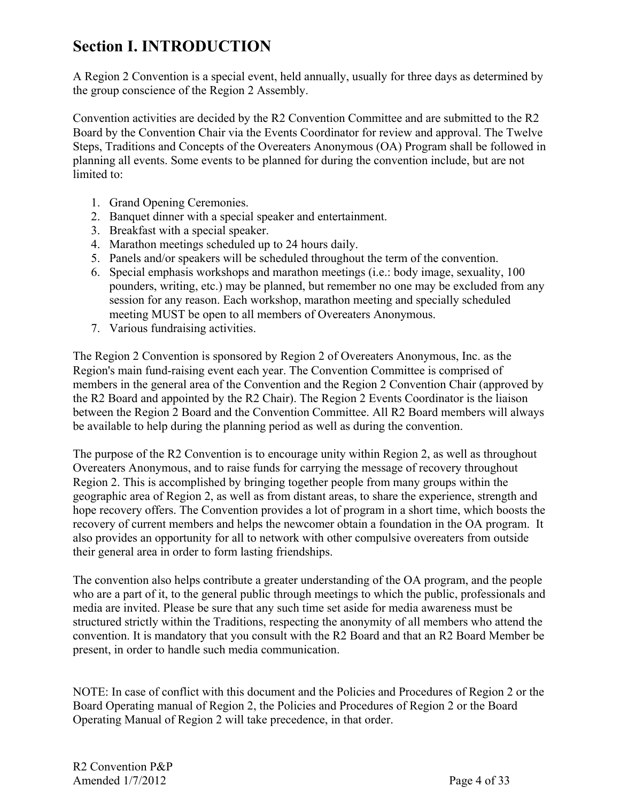# **Section I. INTRODUCTION**

A Region 2 Convention is a special event, held annually, usually for three days as determined by the group conscience of the Region 2 Assembly.

Convention activities are decided by the R2 Convention Committee and are submitted to the R2 Board by the Convention Chair via the Events Coordinator for review and approval. The Twelve Steps, Traditions and Concepts of the Overeaters Anonymous (OA) Program shall be followed in planning all events. Some events to be planned for during the convention include, but are not limited to:

- 1. Grand Opening Ceremonies.
- 2. Banquet dinner with a special speaker and entertainment.
- 3. Breakfast with a special speaker.
- 4. Marathon meetings scheduled up to 24 hours daily.
- 5. Panels and/or speakers will be scheduled throughout the term of the convention.
- 6. Special emphasis workshops and marathon meetings (i.e.: body image, sexuality, 100 pounders, writing, etc.) may be planned, but remember no one may be excluded from any session for any reason. Each workshop, marathon meeting and specially scheduled meeting MUST be open to all members of Overeaters Anonymous.
- 7. Various fundraising activities.

The Region 2 Convention is sponsored by Region 2 of Overeaters Anonymous, Inc. as the Region's main fund-raising event each year. The Convention Committee is comprised of members in the general area of the Convention and the Region 2 Convention Chair (approved by the R2 Board and appointed by the R2 Chair). The Region 2 Events Coordinator is the liaison between the Region 2 Board and the Convention Committee. All R2 Board members will always be available to help during the planning period as well as during the convention.

The purpose of the R2 Convention is to encourage unity within Region 2, as well as throughout Overeaters Anonymous, and to raise funds for carrying the message of recovery throughout Region 2. This is accomplished by bringing together people from many groups within the geographic area of Region 2, as well as from distant areas, to share the experience, strength and hope recovery offers. The Convention provides a lot of program in a short time, which boosts the recovery of current members and helps the newcomer obtain a foundation in the OA program. It also provides an opportunity for all to network with other compulsive overeaters from outside their general area in order to form lasting friendships.

The convention also helps contribute a greater understanding of the OA program, and the people who are a part of it, to the general public through meetings to which the public, professionals and media are invited. Please be sure that any such time set aside for media awareness must be structured strictly within the Traditions, respecting the anonymity of all members who attend the convention. It is mandatory that you consult with the R2 Board and that an R2 Board Member be present, in order to handle such media communication.

NOTE: In case of conflict with this document and the Policies and Procedures of Region 2 or the Board Operating manual of Region 2, the Policies and Procedures of Region 2 or the Board Operating Manual of Region 2 will take precedence, in that order.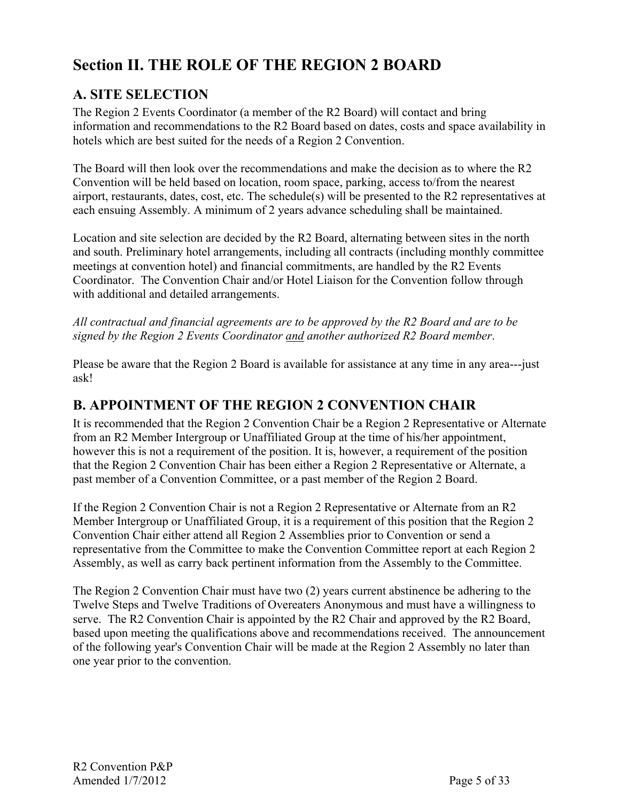# **Section II. THE ROLE OF THE REGION 2 BOARD**

# **A. SITE SELECTION**

The Region 2 Events Coordinator (a member of the R2 Board) will contact and bring information and recommendations to the R2 Board based on dates, costs and space availability in hotels which are best suited for the needs of a Region 2 Convention.

The Board will then look over the recommendations and make the decision as to where the R2 Convention will be held based on location, room space, parking, access to/from the nearest airport, restaurants, dates, cost, etc. The schedule(s) will be presented to the R2 representatives at each ensuing Assembly. A minimum of 2 years advance scheduling shall be maintained.

Location and site selection are decided by the R2 Board, alternating between sites in the north and south. Preliminary hotel arrangements, including all contracts (including monthly committee meetings at convention hotel) and financial commitments, are handled by the R2 Events Coordinator. The Convention Chair and/or Hotel Liaison for the Convention follow through with additional and detailed arrangements.

*All contractual and financial agreements are to be approved by the R2 Board and are to be signed by the Region 2 Events Coordinator and another authorized R2 Board member*.

Please be aware that the Region 2 Board is available for assistance at any time in any area---just ask!

# **B. APPOINTMENT OF THE REGION 2 CONVENTION CHAIR**

It is recommended that the Region 2 Convention Chair be a Region 2 Representative or Alternate from an R2 Member Intergroup or Unaffiliated Group at the time of his/her appointment, however this is not a requirement of the position. It is, however, a requirement of the position that the Region 2 Convention Chair has been either a Region 2 Representative or Alternate, a past member of a Convention Committee, or a past member of the Region 2 Board.

If the Region 2 Convention Chair is not a Region 2 Representative or Alternate from an R2 Member Intergroup or Unaffiliated Group, it is a requirement of this position that the Region 2 Convention Chair either attend all Region 2 Assemblies prior to Convention or send a representative from the Committee to make the Convention Committee report at each Region 2 Assembly, as well as carry back pertinent information from the Assembly to the Committee.

The Region 2 Convention Chair must have two (2) years current abstinence be adhering to the Twelve Steps and Twelve Traditions of Overeaters Anonymous and must have a willingness to serve. The R2 Convention Chair is appointed by the R2 Chair and approved by the R2 Board, based upon meeting the qualifications above and recommendations received. The announcement of the following year's Convention Chair will be made at the Region 2 Assembly no later than one year prior to the convention.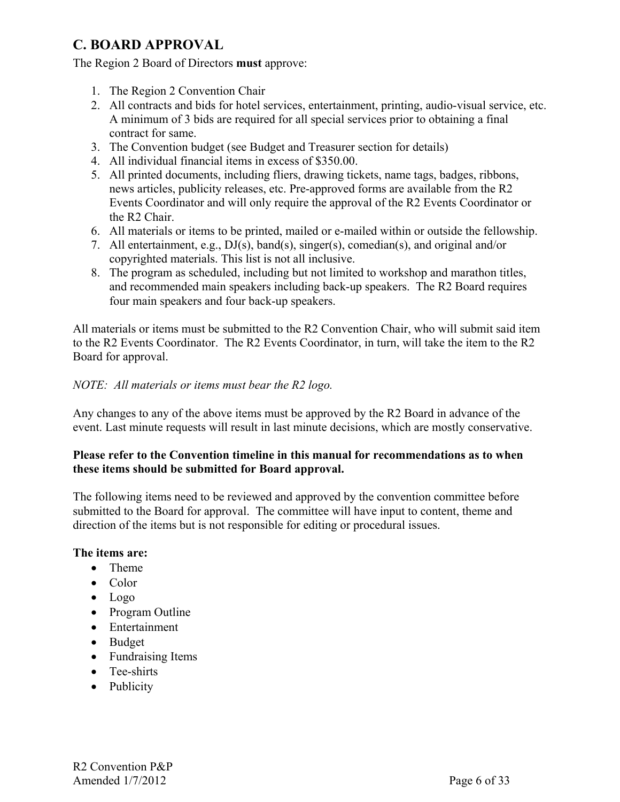# **C. BOARD APPROVAL**

The Region 2 Board of Directors **must** approve:

- 1. The Region 2 Convention Chair
- 2. All contracts and bids for hotel services, entertainment, printing, audio-visual service, etc. A minimum of 3 bids are required for all special services prior to obtaining a final contract for same.
- 3. The Convention budget (see Budget and Treasurer section for details)
- 4. All individual financial items in excess of \$350.00.
- 5. All printed documents, including fliers, drawing tickets, name tags, badges, ribbons, news articles, publicity releases, etc. Pre-approved forms are available from the R2 Events Coordinator and will only require the approval of the R2 Events Coordinator or the R2 Chair.
- 6. All materials or items to be printed, mailed or e-mailed within or outside the fellowship.
- 7. All entertainment, e.g., DJ(s), band(s), singer(s), comedian(s), and original and/or copyrighted materials. This list is not all inclusive.
- 8. The program as scheduled, including but not limited to workshop and marathon titles, and recommended main speakers including back-up speakers. The R2 Board requires four main speakers and four back-up speakers.

All materials or items must be submitted to the R2 Convention Chair, who will submit said item to the R2 Events Coordinator. The R2 Events Coordinator, in turn, will take the item to the R2 Board for approval.

#### *NOTE: All materials or items must bear the R2 logo.*

Any changes to any of the above items must be approved by the R2 Board in advance of the event. Last minute requests will result in last minute decisions, which are mostly conservative.

#### **Please refer to the Convention timeline in this manual for recommendations as to when these items should be submitted for Board approval.**

The following items need to be reviewed and approved by the convention committee before submitted to the Board for approval. The committee will have input to content, theme and direction of the items but is not responsible for editing or procedural issues.

#### **The items are:**

- Theme
- Color
- Logo
- Program Outline
- Entertainment
- Budget
- Fundraising Items
- Tee-shirts
- Publicity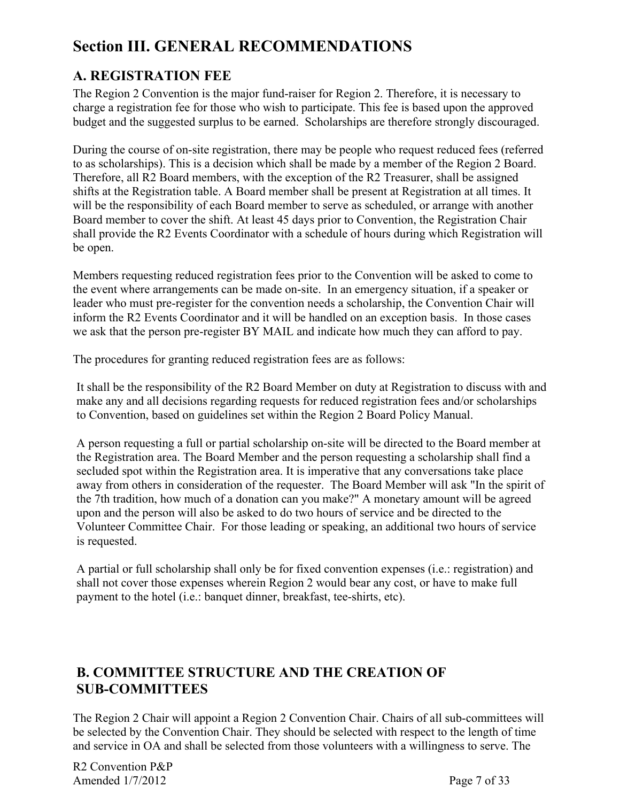# **Section III. GENERAL RECOMMENDATIONS**

# **A. REGISTRATION FEE**

The Region 2 Convention is the major fund-raiser for Region 2. Therefore, it is necessary to charge a registration fee for those who wish to participate. This fee is based upon the approved budget and the suggested surplus to be earned. Scholarships are therefore strongly discouraged.

During the course of on-site registration, there may be people who request reduced fees (referred to as scholarships). This is a decision which shall be made by a member of the Region 2 Board. Therefore, all R2 Board members, with the exception of the R2 Treasurer, shall be assigned shifts at the Registration table. A Board member shall be present at Registration at all times. It will be the responsibility of each Board member to serve as scheduled, or arrange with another Board member to cover the shift. At least 45 days prior to Convention, the Registration Chair shall provide the R2 Events Coordinator with a schedule of hours during which Registration will be open.

Members requesting reduced registration fees prior to the Convention will be asked to come to the event where arrangements can be made on-site. In an emergency situation, if a speaker or leader who must pre-register for the convention needs a scholarship, the Convention Chair will inform the R2 Events Coordinator and it will be handled on an exception basis. In those cases we ask that the person pre-register BY MAIL and indicate how much they can afford to pay.

The procedures for granting reduced registration fees are as follows:

It shall be the responsibility of the R2 Board Member on duty at Registration to discuss with and make any and all decisions regarding requests for reduced registration fees and/or scholarships to Convention, based on guidelines set within the Region 2 Board Policy Manual.

A person requesting a full or partial scholarship on-site will be directed to the Board member at the Registration area. The Board Member and the person requesting a scholarship shall find a secluded spot within the Registration area. It is imperative that any conversations take place away from others in consideration of the requester. The Board Member will ask "In the spirit of the 7th tradition, how much of a donation can you make?" A monetary amount will be agreed upon and the person will also be asked to do two hours of service and be directed to the Volunteer Committee Chair. For those leading or speaking, an additional two hours of service is requested.

A partial or full scholarship shall only be for fixed convention expenses (i.e.: registration) and shall not cover those expenses wherein Region 2 would bear any cost, or have to make full payment to the hotel (i.e.: banquet dinner, breakfast, tee-shirts, etc).

# **B. COMMITTEE STRUCTURE AND THE CREATION OF SUB-COMMITTEES**

The Region 2 Chair will appoint a Region 2 Convention Chair. Chairs of all sub-committees will be selected by the Convention Chair. They should be selected with respect to the length of time and service in OA and shall be selected from those volunteers with a willingness to serve. The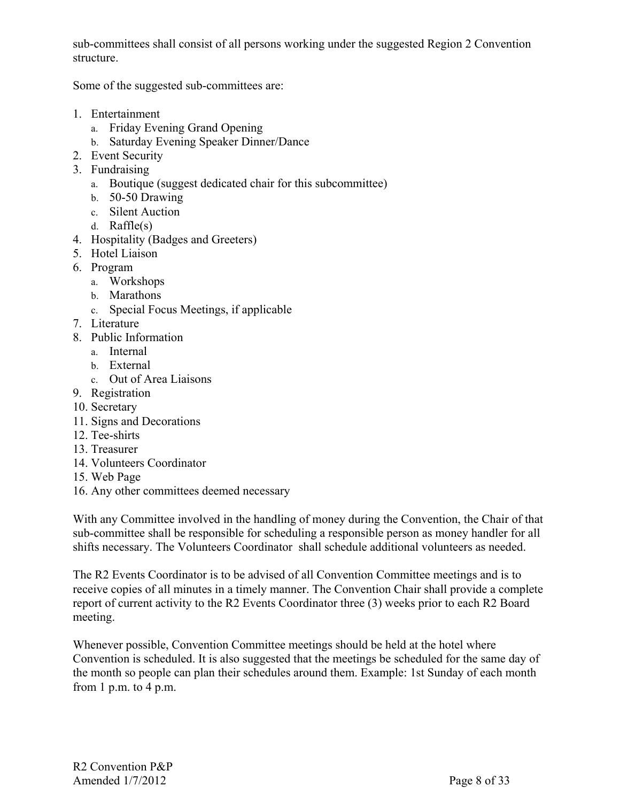sub-committees shall consist of all persons working under the suggested Region 2 Convention structure.

Some of the suggested sub-committees are:

- 1. Entertainment
	- a. Friday Evening Grand Opening
	- b. Saturday Evening Speaker Dinner/Dance
- 2. Event Security
- 3. Fundraising
	- a. Boutique (suggest dedicated chair for this subcommittee)
	- b. 50-50 Drawing
	- c. Silent Auction
	- d. Raffle(s)
- 4. Hospitality (Badges and Greeters)
- 5. Hotel Liaison
- 6. Program
	- a. Workshops
	- b. Marathons
	- c. Special Focus Meetings, if applicable
- 7. Literature
- 8. Public Information
	- a. Internal
	- b. External
	- c. Out of Area Liaisons
- 9. Registration
- 10. Secretary
- 11. Signs and Decorations
- 12. Tee-shirts
- 13. Treasurer
- 14. Volunteers Coordinator
- 15. Web Page
- 16. Any other committees deemed necessary

With any Committee involved in the handling of money during the Convention, the Chair of that sub-committee shall be responsible for scheduling a responsible person as money handler for all shifts necessary. The Volunteers Coordinator shall schedule additional volunteers as needed.

The R2 Events Coordinator is to be advised of all Convention Committee meetings and is to receive copies of all minutes in a timely manner. The Convention Chair shall provide a complete report of current activity to the R2 Events Coordinator three (3) weeks prior to each R2 Board meeting.

Whenever possible, Convention Committee meetings should be held at the hotel where Convention is scheduled. It is also suggested that the meetings be scheduled for the same day of the month so people can plan their schedules around them. Example: 1st Sunday of each month from 1 p.m. to 4 p.m.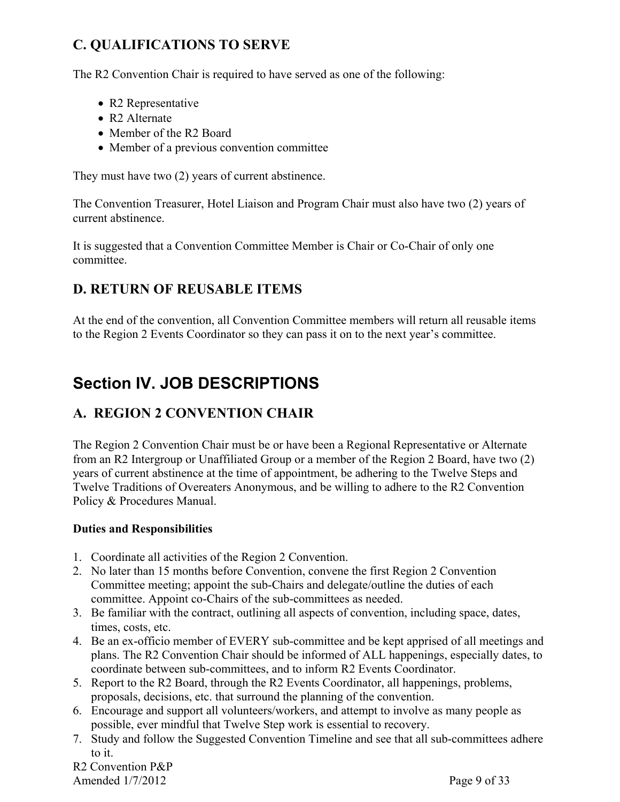# **C. QUALIFICATIONS TO SERVE**

The R2 Convention Chair is required to have served as one of the following:

- R2 Representative
- R2 Alternate
- Member of the R<sub>2</sub> Board
- Member of a previous convention committee

They must have two (2) years of current abstinence.

The Convention Treasurer, Hotel Liaison and Program Chair must also have two (2) years of current abstinence.

It is suggested that a Convention Committee Member is Chair or Co-Chair of only one committee.

# **D. RETURN OF REUSABLE ITEMS**

At the end of the convention, all Convention Committee members will return all reusable items to the Region 2 Events Coordinator so they can pass it on to the next year's committee.

# **Section IV. JOB DESCRIPTIONS**

# **A. REGION 2 CONVENTION CHAIR**

The Region 2 Convention Chair must be or have been a Regional Representative or Alternate from an R2 Intergroup or Unaffiliated Group or a member of the Region 2 Board, have two (2) years of current abstinence at the time of appointment, be adhering to the Twelve Steps and Twelve Traditions of Overeaters Anonymous, and be willing to adhere to the R2 Convention Policy & Procedures Manual.

#### **Duties and Responsibilities**

- 1. Coordinate all activities of the Region 2 Convention.
- 2. No later than 15 months before Convention, convene the first Region 2 Convention Committee meeting; appoint the sub-Chairs and delegate/outline the duties of each committee. Appoint co-Chairs of the sub-committees as needed.
- 3. Be familiar with the contract, outlining all aspects of convention, including space, dates, times, costs, etc.
- 4. Be an ex-officio member of EVERY sub-committee and be kept apprised of all meetings and plans. The R2 Convention Chair should be informed of ALL happenings, especially dates, to coordinate between sub-committees, and to inform R2 Events Coordinator.
- 5. Report to the R2 Board, through the R2 Events Coordinator, all happenings, problems, proposals, decisions, etc. that surround the planning of the convention.
- 6. Encourage and support all volunteers/workers, and attempt to involve as many people as possible, ever mindful that Twelve Step work is essential to recovery.
- 7. Study and follow the Suggested Convention Timeline and see that all sub-committees adhere to it.

R2 Convention P&P Amended  $1/7/2012$  Page 9 of 33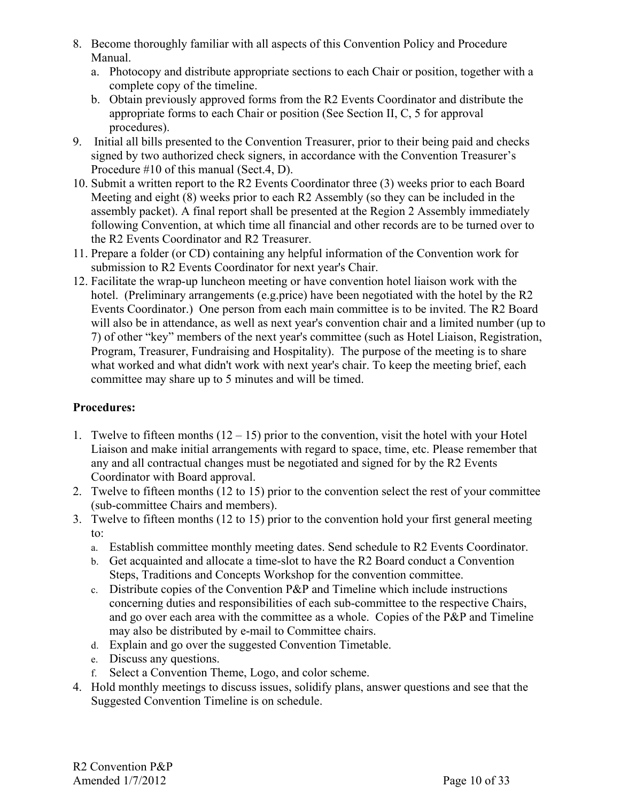- 8. Become thoroughly familiar with all aspects of this Convention Policy and Procedure Manual.
	- a. Photocopy and distribute appropriate sections to each Chair or position, together with a complete copy of the timeline.
	- b. Obtain previously approved forms from the R2 Events Coordinator and distribute the appropriate forms to each Chair or position (See Section II, C, 5 for approval procedures).
- 9. Initial all bills presented to the Convention Treasurer, prior to their being paid and checks signed by two authorized check signers, in accordance with the Convention Treasurer's Procedure #10 of this manual (Sect.4, D).
- 10. Submit a written report to the R2 Events Coordinator three (3) weeks prior to each Board Meeting and eight (8) weeks prior to each R2 Assembly (so they can be included in the assembly packet). A final report shall be presented at the Region 2 Assembly immediately following Convention, at which time all financial and other records are to be turned over to the R2 Events Coordinator and R2 Treasurer.
- 11. Prepare a folder (or CD) containing any helpful information of the Convention work for submission to R2 Events Coordinator for next year's Chair.
- 12. Facilitate the wrap-up luncheon meeting or have convention hotel liaison work with the hotel. (Preliminary arrangements (e.g.price) have been negotiated with the hotel by the R2 Events Coordinator.) One person from each main committee is to be invited. The R2 Board will also be in attendance, as well as next year's convention chair and a limited number (up to 7) of other "key" members of the next year's committee (such as Hotel Liaison, Registration, Program, Treasurer, Fundraising and Hospitality). The purpose of the meeting is to share what worked and what didn't work with next year's chair. To keep the meeting brief, each committee may share up to 5 minutes and will be timed.

#### **Procedures:**

- 1. Twelve to fifteen months  $(12 15)$  prior to the convention, visit the hotel with your Hotel Liaison and make initial arrangements with regard to space, time, etc. Please remember that any and all contractual changes must be negotiated and signed for by the R2 Events Coordinator with Board approval.
- 2. Twelve to fifteen months (12 to 15) prior to the convention select the rest of your committee (sub-committee Chairs and members).
- 3. Twelve to fifteen months (12 to 15) prior to the convention hold your first general meeting to:
	- a. Establish committee monthly meeting dates. Send schedule to R2 Events Coordinator.
	- b. Get acquainted and allocate a time-slot to have the R2 Board conduct a Convention Steps, Traditions and Concepts Workshop for the convention committee.
	- c. Distribute copies of the Convention P&P and Timeline which include instructions concerning duties and responsibilities of each sub-committee to the respective Chairs, and go over each area with the committee as a whole. Copies of the P&P and Timeline may also be distributed by e-mail to Committee chairs.
	- d. Explain and go over the suggested Convention Timetable.
	- e. Discuss any questions.
	- f. Select a Convention Theme, Logo, and color scheme.
- 4. Hold monthly meetings to discuss issues, solidify plans, answer questions and see that the Suggested Convention Timeline is on schedule.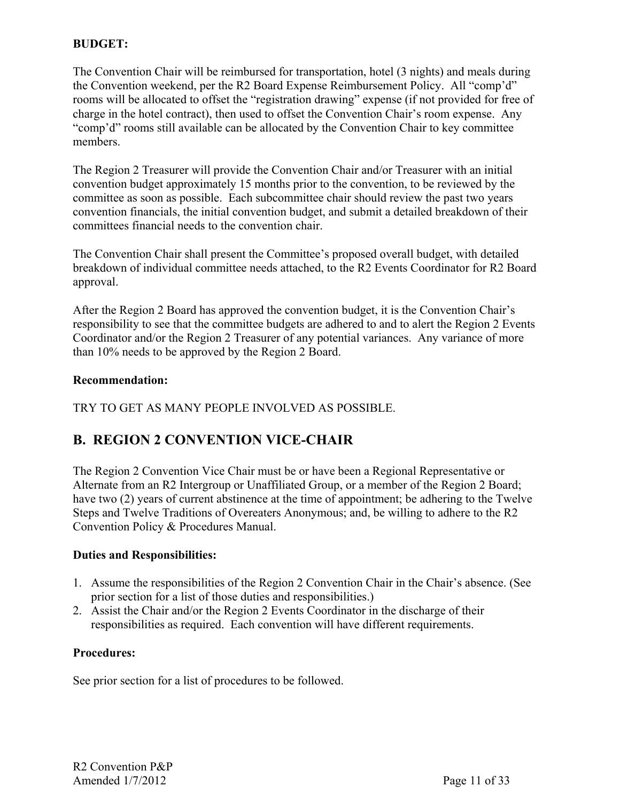#### **BUDGET:**

The Convention Chair will be reimbursed for transportation, hotel (3 nights) and meals during the Convention weekend, per the R2 Board Expense Reimbursement Policy. All "comp'd" rooms will be allocated to offset the "registration drawing" expense (if not provided for free of charge in the hotel contract), then used to offset the Convention Chair's room expense. Any "comp'd" rooms still available can be allocated by the Convention Chair to key committee members.

The Region 2 Treasurer will provide the Convention Chair and/or Treasurer with an initial convention budget approximately 15 months prior to the convention, to be reviewed by the committee as soon as possible. Each subcommittee chair should review the past two years convention financials, the initial convention budget, and submit a detailed breakdown of their committees financial needs to the convention chair.

The Convention Chair shall present the Committee's proposed overall budget, with detailed breakdown of individual committee needs attached, to the R2 Events Coordinator for R2 Board approval.

After the Region 2 Board has approved the convention budget, it is the Convention Chair's responsibility to see that the committee budgets are adhered to and to alert the Region 2 Events Coordinator and/or the Region 2 Treasurer of any potential variances. Any variance of more than 10% needs to be approved by the Region 2 Board.

#### **Recommendation:**

TRY TO GET AS MANY PEOPLE INVOLVED AS POSSIBLE.

# **B. REGION 2 CONVENTION VICE-CHAIR**

The Region 2 Convention Vice Chair must be or have been a Regional Representative or Alternate from an R2 Intergroup or Unaffiliated Group, or a member of the Region 2 Board; have two (2) years of current abstinence at the time of appointment; be adhering to the Twelve Steps and Twelve Traditions of Overeaters Anonymous; and, be willing to adhere to the R2 Convention Policy & Procedures Manual.

#### **Duties and Responsibilities:**

- 1. Assume the responsibilities of the Region 2 Convention Chair in the Chair's absence. (See prior section for a list of those duties and responsibilities.)
- 2. Assist the Chair and/or the Region 2 Events Coordinator in the discharge of their responsibilities as required. Each convention will have different requirements.

#### **Procedures:**

See prior section for a list of procedures to be followed.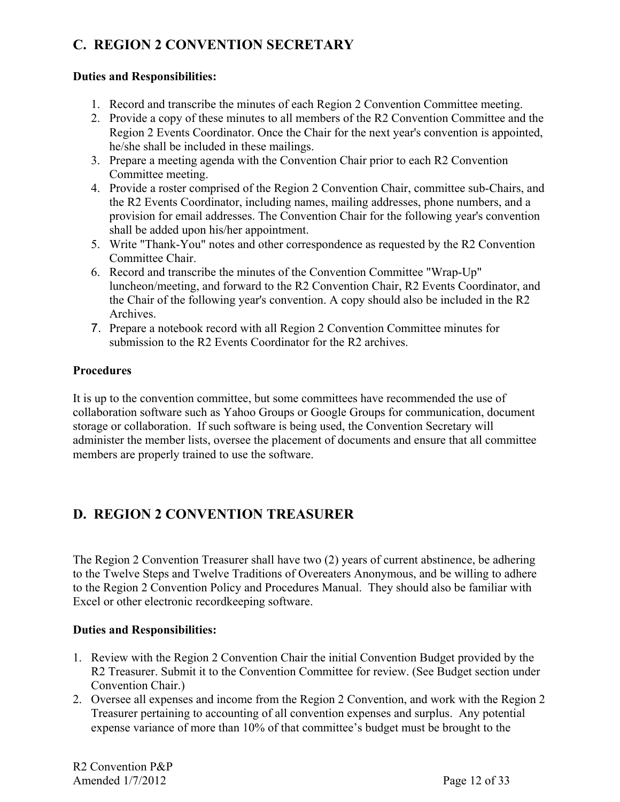# **C. REGION 2 CONVENTION SECRETARY**

#### **Duties and Responsibilities:**

- 1. Record and transcribe the minutes of each Region 2 Convention Committee meeting.
- 2. Provide a copy of these minutes to all members of the R2 Convention Committee and the Region 2 Events Coordinator. Once the Chair for the next year's convention is appointed, he/she shall be included in these mailings.
- 3. Prepare a meeting agenda with the Convention Chair prior to each R2 Convention Committee meeting.
- 4. Provide a roster comprised of the Region 2 Convention Chair, committee sub-Chairs, and the R2 Events Coordinator, including names, mailing addresses, phone numbers, and a provision for email addresses. The Convention Chair for the following year's convention shall be added upon his/her appointment.
- 5. Write "Thank-You" notes and other correspondence as requested by the R2 Convention Committee Chair.
- 6. Record and transcribe the minutes of the Convention Committee "Wrap-Up" luncheon/meeting, and forward to the R2 Convention Chair, R2 Events Coordinator, and the Chair of the following year's convention. A copy should also be included in the R2 Archives.
- 7. Prepare a notebook record with all Region 2 Convention Committee minutes for submission to the R2 Events Coordinator for the R2 archives.

#### **Procedures**

It is up to the convention committee, but some committees have recommended the use of collaboration software such as Yahoo Groups or Google Groups for communication, document storage or collaboration. If such software is being used, the Convention Secretary will administer the member lists, oversee the placement of documents and ensure that all committee members are properly trained to use the software.

# **D. REGION 2 CONVENTION TREASURER**

The Region 2 Convention Treasurer shall have two (2) years of current abstinence, be adhering to the Twelve Steps and Twelve Traditions of Overeaters Anonymous, and be willing to adhere to the Region 2 Convention Policy and Procedures Manual. They should also be familiar with Excel or other electronic recordkeeping software.

#### **Duties and Responsibilities:**

- 1. Review with the Region 2 Convention Chair the initial Convention Budget provided by the R2 Treasurer. Submit it to the Convention Committee for review. (See Budget section under Convention Chair.)
- 2. Oversee all expenses and income from the Region 2 Convention, and work with the Region 2 Treasurer pertaining to accounting of all convention expenses and surplus. Any potential expense variance of more than 10% of that committee's budget must be brought to the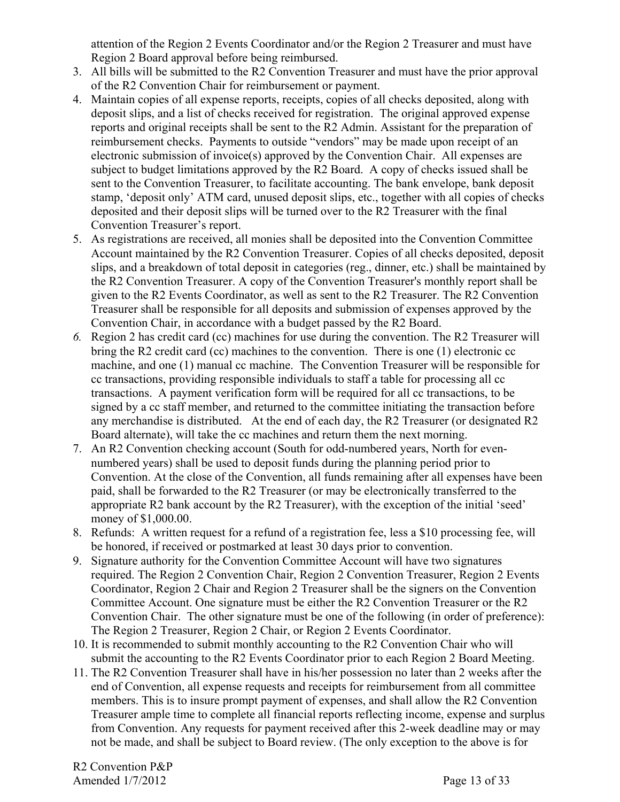attention of the Region 2 Events Coordinator and/or the Region 2 Treasurer and must have Region 2 Board approval before being reimbursed.

- 3. All bills will be submitted to the R2 Convention Treasurer and must have the prior approval of the R2 Convention Chair for reimbursement or payment.
- 4. Maintain copies of all expense reports, receipts, copies of all checks deposited, along with deposit slips, and a list of checks received for registration. The original approved expense reports and original receipts shall be sent to the R2 Admin. Assistant for the preparation of reimbursement checks. Payments to outside "vendors" may be made upon receipt of an electronic submission of invoice(s) approved by the Convention Chair. All expenses are subject to budget limitations approved by the R2 Board. A copy of checks issued shall be sent to the Convention Treasurer, to facilitate accounting. The bank envelope, bank deposit stamp, 'deposit only' ATM card, unused deposit slips, etc., together with all copies of checks deposited and their deposit slips will be turned over to the R2 Treasurer with the final Convention Treasurer's report.
- 5. As registrations are received, all monies shall be deposited into the Convention Committee Account maintained by the R2 Convention Treasurer. Copies of all checks deposited, deposit slips, and a breakdown of total deposit in categories (reg., dinner, etc.) shall be maintained by the R2 Convention Treasurer. A copy of the Convention Treasurer's monthly report shall be given to the R2 Events Coordinator, as well as sent to the R2 Treasurer. The R2 Convention Treasurer shall be responsible for all deposits and submission of expenses approved by the Convention Chair, in accordance with a budget passed by the R2 Board.
- *6.* Region 2 has credit card (cc) machines for use during the convention. The R2 Treasurer will bring the R2 credit card (cc) machines to the convention. There is one (1) electronic cc machine, and one (1) manual cc machine. The Convention Treasurer will be responsible for cc transactions, providing responsible individuals to staff a table for processing all cc transactions. A payment verification form will be required for all cc transactions, to be signed by a cc staff member, and returned to the committee initiating the transaction before any merchandise is distributed. At the end of each day, the R2 Treasurer (or designated R2 Board alternate), will take the cc machines and return them the next morning.
- 7. An R2 Convention checking account (South for odd-numbered years, North for evennumbered years) shall be used to deposit funds during the planning period prior to Convention. At the close of the Convention, all funds remaining after all expenses have been paid, shall be forwarded to the R2 Treasurer (or may be electronically transferred to the appropriate R2 bank account by the R2 Treasurer), with the exception of the initial 'seed' money of \$1,000.00.
- 8. Refunds: A written request for a refund of a registration fee, less a \$10 processing fee, will be honored, if received or postmarked at least 30 days prior to convention.
- 9. Signature authority for the Convention Committee Account will have two signatures required. The Region 2 Convention Chair, Region 2 Convention Treasurer, Region 2 Events Coordinator, Region 2 Chair and Region 2 Treasurer shall be the signers on the Convention Committee Account. One signature must be either the R2 Convention Treasurer or the R2 Convention Chair. The other signature must be one of the following (in order of preference): The Region 2 Treasurer, Region 2 Chair, or Region 2 Events Coordinator.
- 10. It is recommended to submit monthly accounting to the R2 Convention Chair who will submit the accounting to the R2 Events Coordinator prior to each Region 2 Board Meeting.
- 11. The R2 Convention Treasurer shall have in his/her possession no later than 2 weeks after the end of Convention, all expense requests and receipts for reimbursement from all committee members. This is to insure prompt payment of expenses, and shall allow the R2 Convention Treasurer ample time to complete all financial reports reflecting income, expense and surplus from Convention. Any requests for payment received after this 2-week deadline may or may not be made, and shall be subject to Board review. (The only exception to the above is for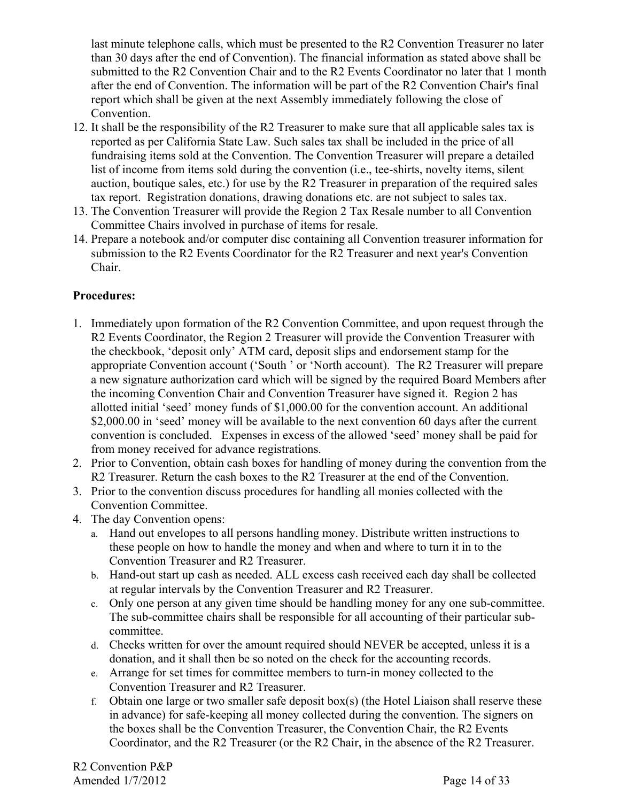last minute telephone calls, which must be presented to the R2 Convention Treasurer no later than 30 days after the end of Convention). The financial information as stated above shall be submitted to the R2 Convention Chair and to the R2 Events Coordinator no later that 1 month after the end of Convention. The information will be part of the R2 Convention Chair's final report which shall be given at the next Assembly immediately following the close of Convention.

- 12. It shall be the responsibility of the R2 Treasurer to make sure that all applicable sales tax is reported as per California State Law. Such sales tax shall be included in the price of all fundraising items sold at the Convention. The Convention Treasurer will prepare a detailed list of income from items sold during the convention (i.e., tee-shirts, novelty items, silent auction, boutique sales, etc.) for use by the R2 Treasurer in preparation of the required sales tax report. Registration donations, drawing donations etc. are not subject to sales tax.
- 13. The Convention Treasurer will provide the Region 2 Tax Resale number to all Convention Committee Chairs involved in purchase of items for resale.
- 14. Prepare a notebook and/or computer disc containing all Convention treasurer information for submission to the R2 Events Coordinator for the R2 Treasurer and next year's Convention Chair.

#### **Procedures:**

- 1. Immediately upon formation of the R2 Convention Committee, and upon request through the R2 Events Coordinator, the Region 2 Treasurer will provide the Convention Treasurer with the checkbook, 'deposit only' ATM card, deposit slips and endorsement stamp for the appropriate Convention account ('South ' or 'North account). The R2 Treasurer will prepare a new signature authorization card which will be signed by the required Board Members after the incoming Convention Chair and Convention Treasurer have signed it. Region 2 has allotted initial 'seed' money funds of \$1,000.00 for the convention account. An additional \$2,000.00 in 'seed' money will be available to the next convention 60 days after the current convention is concluded. Expenses in excess of the allowed 'seed' money shall be paid for from money received for advance registrations.
- 2. Prior to Convention, obtain cash boxes for handling of money during the convention from the R2 Treasurer. Return the cash boxes to the R2 Treasurer at the end of the Convention.
- 3. Prior to the convention discuss procedures for handling all monies collected with the Convention Committee.
- 4. The day Convention opens:
	- a. Hand out envelopes to all persons handling money. Distribute written instructions to these people on how to handle the money and when and where to turn it in to the Convention Treasurer and R2 Treasurer.
	- b. Hand-out start up cash as needed. ALL excess cash received each day shall be collected at regular intervals by the Convention Treasurer and R2 Treasurer.
	- c. Only one person at any given time should be handling money for any one sub-committee. The sub-committee chairs shall be responsible for all accounting of their particular subcommittee.
	- d. Checks written for over the amount required should NEVER be accepted, unless it is a donation, and it shall then be so noted on the check for the accounting records.
	- e. Arrange for set times for committee members to turn-in money collected to the Convention Treasurer and R2 Treasurer.
	- f. Obtain one large or two smaller safe deposit box(s) (the Hotel Liaison shall reserve these in advance) for safe-keeping all money collected during the convention. The signers on the boxes shall be the Convention Treasurer, the Convention Chair, the R2 Events Coordinator, and the R2 Treasurer (or the R2 Chair, in the absence of the R2 Treasurer.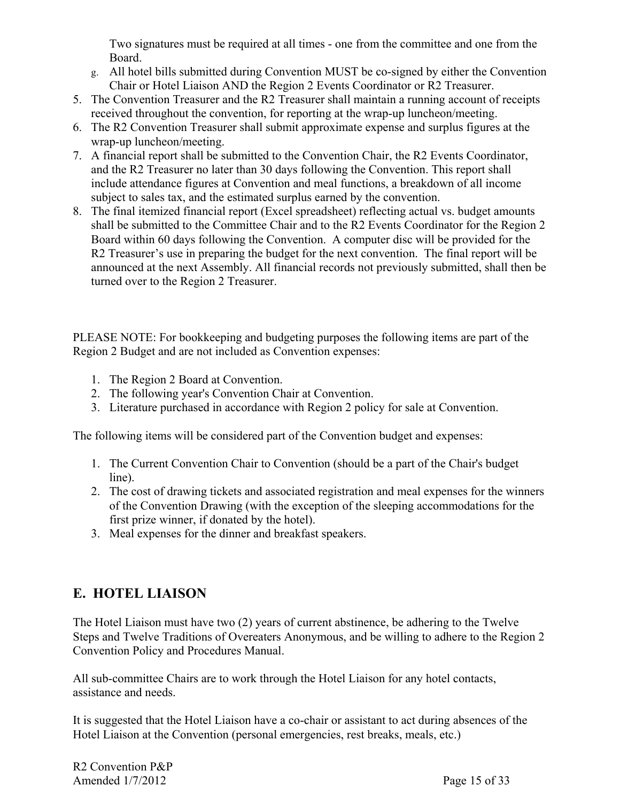Two signatures must be required at all times - one from the committee and one from the Board.

- g. All hotel bills submitted during Convention MUST be co-signed by either the Convention Chair or Hotel Liaison AND the Region 2 Events Coordinator or R2 Treasurer.
- 5. The Convention Treasurer and the R2 Treasurer shall maintain a running account of receipts received throughout the convention, for reporting at the wrap-up luncheon/meeting.
- 6. The R2 Convention Treasurer shall submit approximate expense and surplus figures at the wrap-up luncheon/meeting.
- 7. A financial report shall be submitted to the Convention Chair, the R2 Events Coordinator, and the R2 Treasurer no later than 30 days following the Convention. This report shall include attendance figures at Convention and meal functions, a breakdown of all income subject to sales tax, and the estimated surplus earned by the convention.
- 8. The final itemized financial report (Excel spreadsheet) reflecting actual vs. budget amounts shall be submitted to the Committee Chair and to the R2 Events Coordinator for the Region 2 Board within 60 days following the Convention. A computer disc will be provided for the R2 Treasurer's use in preparing the budget for the next convention. The final report will be announced at the next Assembly. All financial records not previously submitted, shall then be turned over to the Region 2 Treasurer.

PLEASE NOTE: For bookkeeping and budgeting purposes the following items are part of the Region 2 Budget and are not included as Convention expenses:

- 1. The Region 2 Board at Convention.
- 2. The following year's Convention Chair at Convention.
- 3. Literature purchased in accordance with Region 2 policy for sale at Convention.

The following items will be considered part of the Convention budget and expenses:

- 1. The Current Convention Chair to Convention (should be a part of the Chair's budget line).
- 2. The cost of drawing tickets and associated registration and meal expenses for the winners of the Convention Drawing (with the exception of the sleeping accommodations for the first prize winner, if donated by the hotel).
- 3. Meal expenses for the dinner and breakfast speakers.

# **E. HOTEL LIAISON**

The Hotel Liaison must have two (2) years of current abstinence, be adhering to the Twelve Steps and Twelve Traditions of Overeaters Anonymous, and be willing to adhere to the Region 2 Convention Policy and Procedures Manual.

All sub-committee Chairs are to work through the Hotel Liaison for any hotel contacts, assistance and needs.

It is suggested that the Hotel Liaison have a co-chair or assistant to act during absences of the Hotel Liaison at the Convention (personal emergencies, rest breaks, meals, etc.)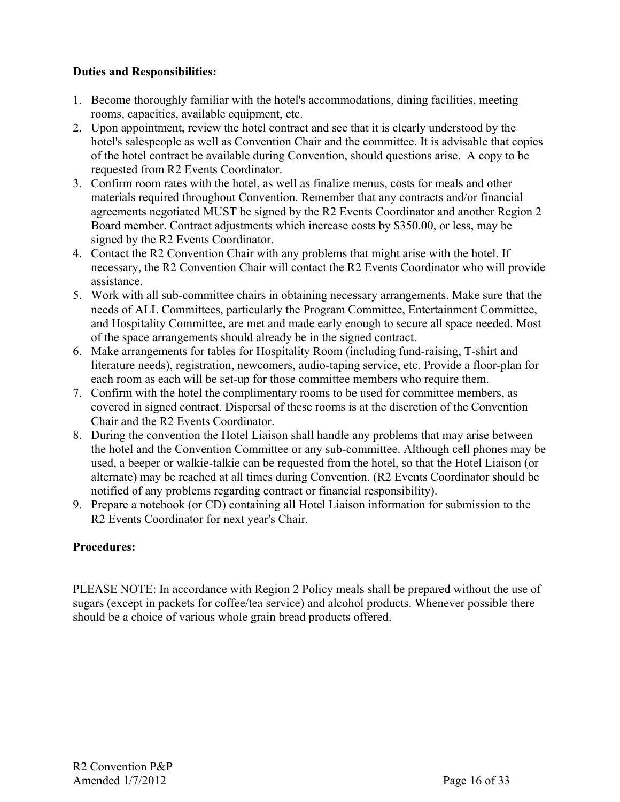#### **Duties and Responsibilities:**

- 1. Become thoroughly familiar with the hotel's accommodations, dining facilities, meeting rooms, capacities, available equipment, etc.
- 2. Upon appointment, review the hotel contract and see that it is clearly understood by the hotel's salespeople as well as Convention Chair and the committee. It is advisable that copies of the hotel contract be available during Convention, should questions arise. A copy to be requested from R2 Events Coordinator.
- 3. Confirm room rates with the hotel, as well as finalize menus, costs for meals and other materials required throughout Convention. Remember that any contracts and/or financial agreements negotiated MUST be signed by the R2 Events Coordinator and another Region 2 Board member. Contract adjustments which increase costs by \$350.00, or less, may be signed by the R2 Events Coordinator.
- 4. Contact the R2 Convention Chair with any problems that might arise with the hotel. If necessary, the R2 Convention Chair will contact the R2 Events Coordinator who will provide assistance.
- 5. Work with all sub-committee chairs in obtaining necessary arrangements. Make sure that the needs of ALL Committees, particularly the Program Committee, Entertainment Committee, and Hospitality Committee, are met and made early enough to secure all space needed. Most of the space arrangements should already be in the signed contract.
- 6. Make arrangements for tables for Hospitality Room (including fund-raising, T-shirt and literature needs), registration, newcomers, audio-taping service, etc. Provide a floor-plan for each room as each will be set-up for those committee members who require them.
- 7. Confirm with the hotel the complimentary rooms to be used for committee members, as covered in signed contract. Dispersal of these rooms is at the discretion of the Convention Chair and the R2 Events Coordinator.
- 8. During the convention the Hotel Liaison shall handle any problems that may arise between the hotel and the Convention Committee or any sub-committee. Although cell phones may be used, a beeper or walkie-talkie can be requested from the hotel, so that the Hotel Liaison (or alternate) may be reached at all times during Convention. (R2 Events Coordinator should be notified of any problems regarding contract or financial responsibility).
- 9. Prepare a notebook (or CD) containing all Hotel Liaison information for submission to the R2 Events Coordinator for next year's Chair.

#### **Procedures:**

PLEASE NOTE: In accordance with Region 2 Policy meals shall be prepared without the use of sugars (except in packets for coffee/tea service) and alcohol products. Whenever possible there should be a choice of various whole grain bread products offered.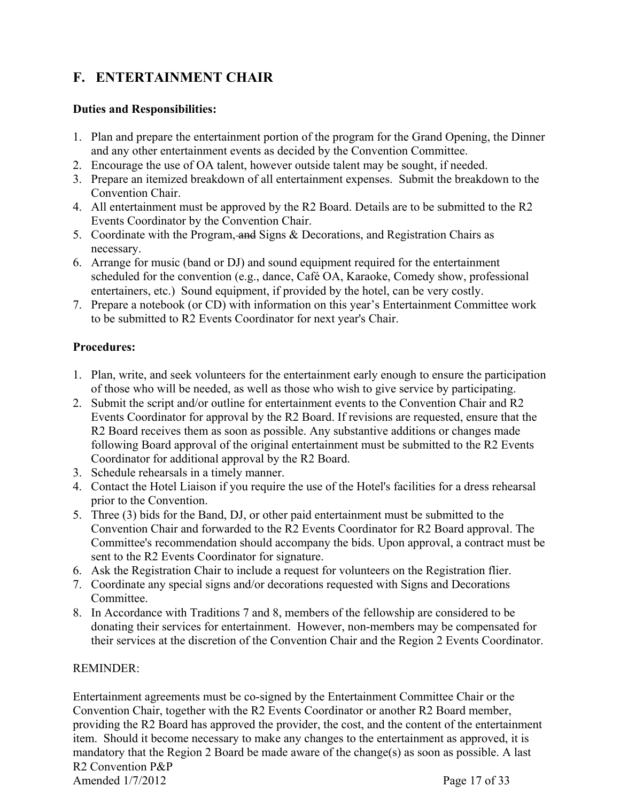# **F. ENTERTAINMENT CHAIR**

#### **Duties and Responsibilities:**

- 1. Plan and prepare the entertainment portion of the program for the Grand Opening, the Dinner and any other entertainment events as decided by the Convention Committee.
- 2. Encourage the use of OA talent, however outside talent may be sought, if needed.
- 3. Prepare an itemized breakdown of all entertainment expenses. Submit the breakdown to the Convention Chair.
- 4. All entertainment must be approved by the R2 Board. Details are to be submitted to the R2 Events Coordinator by the Convention Chair.
- 5. Coordinate with the Program, and Signs & Decorations, and Registration Chairs as necessary.
- 6. Arrange for music (band or DJ) and sound equipment required for the entertainment scheduled for the convention (e.g., dance, Café OA, Karaoke, Comedy show, professional entertainers, etc.) Sound equipment, if provided by the hotel, can be very costly.
- 7. Prepare a notebook (or CD) with information on this year's Entertainment Committee work to be submitted to R2 Events Coordinator for next year's Chair.

#### **Procedures:**

- 1. Plan, write, and seek volunteers for the entertainment early enough to ensure the participation of those who will be needed, as well as those who wish to give service by participating.
- 2. Submit the script and/or outline for entertainment events to the Convention Chair and R2 Events Coordinator for approval by the R2 Board. If revisions are requested, ensure that the R2 Board receives them as soon as possible. Any substantive additions or changes made following Board approval of the original entertainment must be submitted to the R2 Events Coordinator for additional approval by the R2 Board.
- 3. Schedule rehearsals in a timely manner.
- 4. Contact the Hotel Liaison if you require the use of the Hotel's facilities for a dress rehearsal prior to the Convention.
- 5. Three (3) bids for the Band, DJ, or other paid entertainment must be submitted to the Convention Chair and forwarded to the R2 Events Coordinator for R2 Board approval. The Committee's recommendation should accompany the bids. Upon approval, a contract must be sent to the R2 Events Coordinator for signature.
- 6. Ask the Registration Chair to include a request for volunteers on the Registration flier.
- 7. Coordinate any special signs and/or decorations requested with Signs and Decorations **Committee**
- 8. In Accordance with Traditions 7 and 8, members of the fellowship are considered to be donating their services for entertainment. However, non-members may be compensated for their services at the discretion of the Convention Chair and the Region 2 Events Coordinator.

#### REMINDER:

R2 Convention P&P Amended 1/7/2012 Page 17 of 33 Entertainment agreements must be co-signed by the Entertainment Committee Chair or the Convention Chair, together with the R2 Events Coordinator or another R2 Board member, providing the R2 Board has approved the provider, the cost, and the content of the entertainment item. Should it become necessary to make any changes to the entertainment as approved, it is mandatory that the Region 2 Board be made aware of the change(s) as soon as possible. A last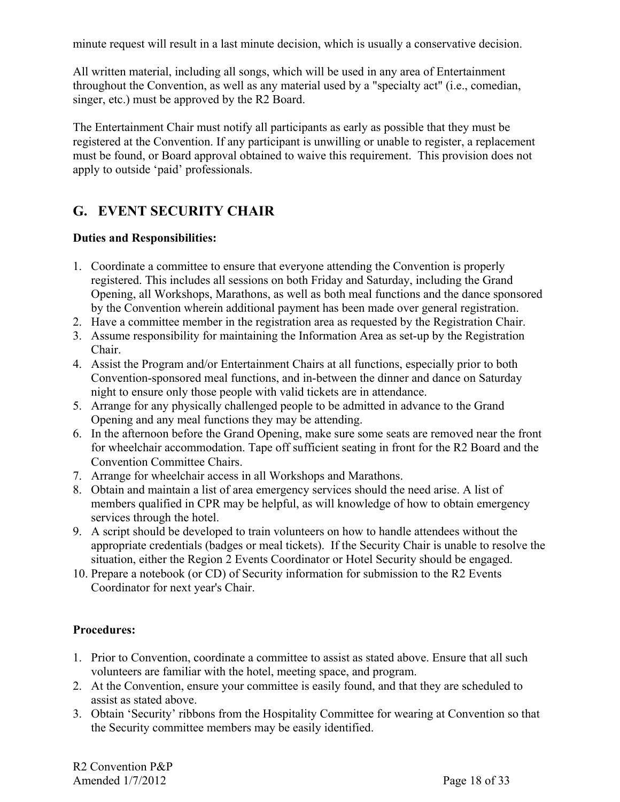minute request will result in a last minute decision, which is usually a conservative decision.

All written material, including all songs, which will be used in any area of Entertainment throughout the Convention, as well as any material used by a "specialty act" (i.e., comedian, singer, etc.) must be approved by the R2 Board.

The Entertainment Chair must notify all participants as early as possible that they must be registered at the Convention. If any participant is unwilling or unable to register, a replacement must be found, or Board approval obtained to waive this requirement. This provision does not apply to outside 'paid' professionals.

# **G. EVENT SECURITY CHAIR**

#### **Duties and Responsibilities:**

- 1. Coordinate a committee to ensure that everyone attending the Convention is properly registered. This includes all sessions on both Friday and Saturday, including the Grand Opening, all Workshops, Marathons, as well as both meal functions and the dance sponsored by the Convention wherein additional payment has been made over general registration.
- 2. Have a committee member in the registration area as requested by the Registration Chair.
- 3. Assume responsibility for maintaining the Information Area as set-up by the Registration Chair.
- 4. Assist the Program and/or Entertainment Chairs at all functions, especially prior to both Convention-sponsored meal functions, and in-between the dinner and dance on Saturday night to ensure only those people with valid tickets are in attendance.
- 5. Arrange for any physically challenged people to be admitted in advance to the Grand Opening and any meal functions they may be attending.
- 6. In the afternoon before the Grand Opening, make sure some seats are removed near the front for wheelchair accommodation. Tape off sufficient seating in front for the R2 Board and the Convention Committee Chairs.
- 7. Arrange for wheelchair access in all Workshops and Marathons.
- 8. Obtain and maintain a list of area emergency services should the need arise. A list of members qualified in CPR may be helpful, as will knowledge of how to obtain emergency services through the hotel.
- 9. A script should be developed to train volunteers on how to handle attendees without the appropriate credentials (badges or meal tickets). If the Security Chair is unable to resolve the situation, either the Region 2 Events Coordinator or Hotel Security should be engaged.
- 10. Prepare a notebook (or CD) of Security information for submission to the R2 Events Coordinator for next year's Chair.

#### **Procedures:**

- 1. Prior to Convention, coordinate a committee to assist as stated above. Ensure that all such volunteers are familiar with the hotel, meeting space, and program.
- 2. At the Convention, ensure your committee is easily found, and that they are scheduled to assist as stated above.
- 3. Obtain 'Security' ribbons from the Hospitality Committee for wearing at Convention so that the Security committee members may be easily identified.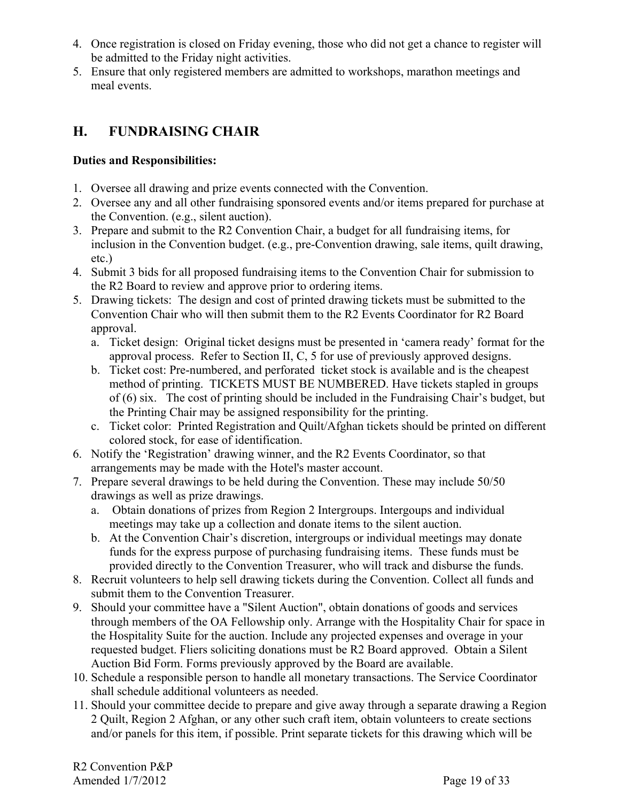- 4. Once registration is closed on Friday evening, those who did not get a chance to register will be admitted to the Friday night activities.
- 5. Ensure that only registered members are admitted to workshops, marathon meetings and meal events.

# **H. FUNDRAISING CHAIR**

#### **Duties and Responsibilities:**

- 1. Oversee all drawing and prize events connected with the Convention.
- 2. Oversee any and all other fundraising sponsored events and/or items prepared for purchase at the Convention. (e.g., silent auction).
- 3. Prepare and submit to the R2 Convention Chair, a budget for all fundraising items, for inclusion in the Convention budget. (e.g., pre-Convention drawing, sale items, quilt drawing, etc.)
- 4. Submit 3 bids for all proposed fundraising items to the Convention Chair for submission to the R2 Board to review and approve prior to ordering items.
- 5. Drawing tickets: The design and cost of printed drawing tickets must be submitted to the Convention Chair who will then submit them to the R2 Events Coordinator for R2 Board approval.
	- a. Ticket design: Original ticket designs must be presented in 'camera ready' format for the approval process. Refer to Section II, C, 5 for use of previously approved designs.
	- b. Ticket cost: Pre-numbered, and perforated ticket stock is available and is the cheapest method of printing. TICKETS MUST BE NUMBERED. Have tickets stapled in groups of (6) six. The cost of printing should be included in the Fundraising Chair's budget, but the Printing Chair may be assigned responsibility for the printing.
	- c. Ticket color: Printed Registration and Quilt/Afghan tickets should be printed on different colored stock, for ease of identification.
- 6. Notify the 'Registration' drawing winner, and the R2 Events Coordinator, so that arrangements may be made with the Hotel's master account.
- 7. Prepare several drawings to be held during the Convention. These may include 50/50 drawings as well as prize drawings.
	- a. Obtain donations of prizes from Region 2 Intergroups. Intergoups and individual meetings may take up a collection and donate items to the silent auction.
	- b. At the Convention Chair's discretion, intergroups or individual meetings may donate funds for the express purpose of purchasing fundraising items. These funds must be provided directly to the Convention Treasurer, who will track and disburse the funds.
- 8. Recruit volunteers to help sell drawing tickets during the Convention. Collect all funds and submit them to the Convention Treasurer.
- 9. Should your committee have a "Silent Auction", obtain donations of goods and services through members of the OA Fellowship only. Arrange with the Hospitality Chair for space in the Hospitality Suite for the auction. Include any projected expenses and overage in your requested budget. Fliers soliciting donations must be R2 Board approved. Obtain a Silent Auction Bid Form. Forms previously approved by the Board are available.
- 10. Schedule a responsible person to handle all monetary transactions. The Service Coordinator shall schedule additional volunteers as needed.
- 11. Should your committee decide to prepare and give away through a separate drawing a Region 2 Quilt, Region 2 Afghan, or any other such craft item, obtain volunteers to create sections and/or panels for this item, if possible. Print separate tickets for this drawing which will be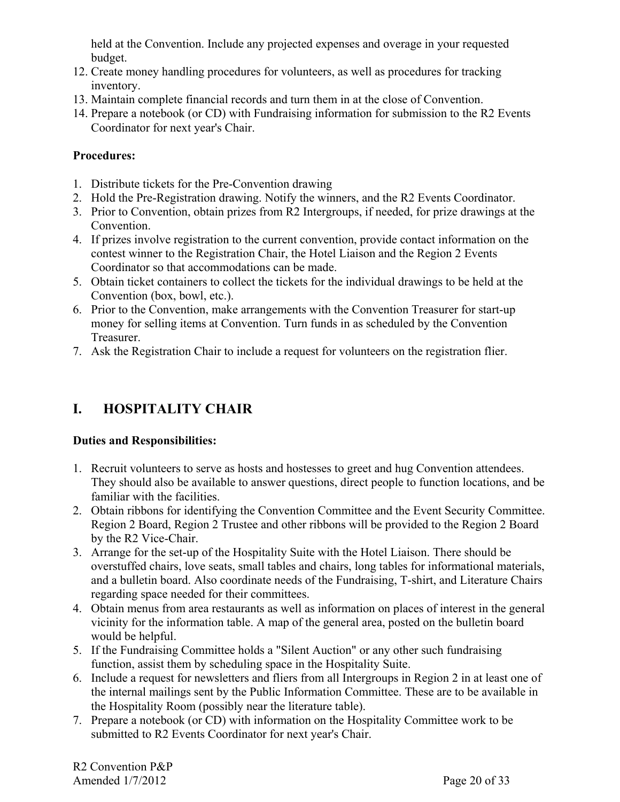held at the Convention. Include any projected expenses and overage in your requested budget.

- 12. Create money handling procedures for volunteers, as well as procedures for tracking inventory.
- 13. Maintain complete financial records and turn them in at the close of Convention.
- 14. Prepare a notebook (or CD) with Fundraising information for submission to the R2 Events Coordinator for next year's Chair.

#### **Procedures:**

- 1. Distribute tickets for the Pre-Convention drawing
- 2. Hold the Pre-Registration drawing. Notify the winners, and the R2 Events Coordinator.
- 3. Prior to Convention, obtain prizes from R2 Intergroups, if needed, for prize drawings at the Convention.
- 4. If prizes involve registration to the current convention, provide contact information on the contest winner to the Registration Chair, the Hotel Liaison and the Region 2 Events Coordinator so that accommodations can be made.
- 5. Obtain ticket containers to collect the tickets for the individual drawings to be held at the Convention (box, bowl, etc.).
- 6. Prior to the Convention, make arrangements with the Convention Treasurer for start-up money for selling items at Convention. Turn funds in as scheduled by the Convention Treasurer.
- 7. Ask the Registration Chair to include a request for volunteers on the registration flier.

# **I. HOSPITALITY CHAIR**

#### **Duties and Responsibilities:**

- 1. Recruit volunteers to serve as hosts and hostesses to greet and hug Convention attendees. They should also be available to answer questions, direct people to function locations, and be familiar with the facilities.
- 2. Obtain ribbons for identifying the Convention Committee and the Event Security Committee. Region 2 Board, Region 2 Trustee and other ribbons will be provided to the Region 2 Board by the R2 Vice-Chair.
- 3. Arrange for the set-up of the Hospitality Suite with the Hotel Liaison. There should be overstuffed chairs, love seats, small tables and chairs, long tables for informational materials, and a bulletin board. Also coordinate needs of the Fundraising, T-shirt, and Literature Chairs regarding space needed for their committees.
- 4. Obtain menus from area restaurants as well as information on places of interest in the general vicinity for the information table. A map of the general area, posted on the bulletin board would be helpful.
- 5. If the Fundraising Committee holds a "Silent Auction" or any other such fundraising function, assist them by scheduling space in the Hospitality Suite.
- 6. Include a request for newsletters and fliers from all Intergroups in Region 2 in at least one of the internal mailings sent by the Public Information Committee. These are to be available in the Hospitality Room (possibly near the literature table).
- 7. Prepare a notebook (or CD) with information on the Hospitality Committee work to be submitted to R2 Events Coordinator for next year's Chair.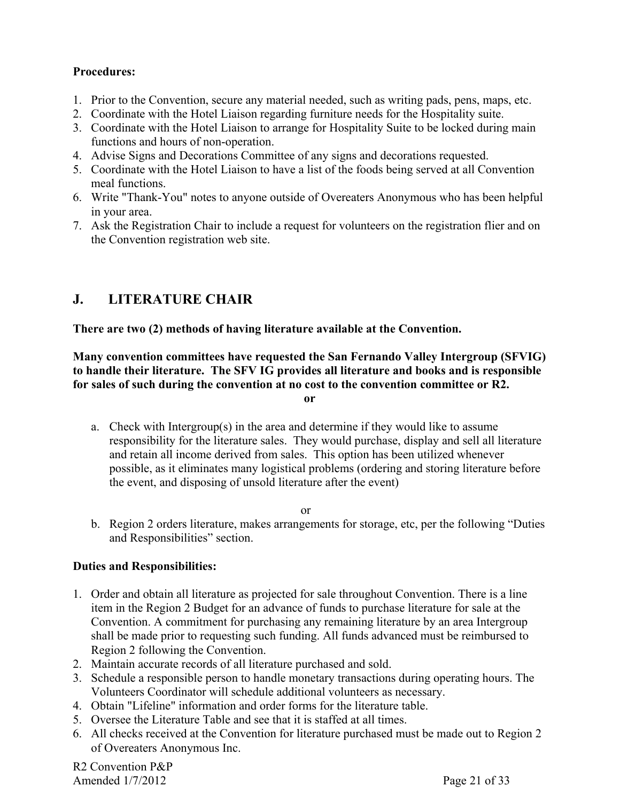#### **Procedures:**

- 1. Prior to the Convention, secure any material needed, such as writing pads, pens, maps, etc.
- 2. Coordinate with the Hotel Liaison regarding furniture needs for the Hospitality suite.
- 3. Coordinate with the Hotel Liaison to arrange for Hospitality Suite to be locked during main functions and hours of non-operation.
- 4. Advise Signs and Decorations Committee of any signs and decorations requested.
- 5. Coordinate with the Hotel Liaison to have a list of the foods being served at all Convention meal functions.
- 6. Write "Thank-You" notes to anyone outside of Overeaters Anonymous who has been helpful in your area.
- 7. Ask the Registration Chair to include a request for volunteers on the registration flier and on the Convention registration web site.

# **J. LITERATURE CHAIR**

**There are two (2) methods of having literature available at the Convention.** 

**Many convention committees have requested the San Fernando Valley Intergroup (SFVIG) to handle their literature. The SFV IG provides all literature and books and is responsible for sales of such during the convention at no cost to the convention committee or R2.** 

**or** 

a. Check with Intergroup(s) in the area and determine if they would like to assume responsibility for the literature sales. They would purchase, display and sell all literature and retain all income derived from sales. This option has been utilized whenever possible, as it eliminates many logistical problems (ordering and storing literature before the event, and disposing of unsold literature after the event)

or

b. Region 2 orders literature, makes arrangements for storage, etc, per the following "Duties and Responsibilities" section.

#### **Duties and Responsibilities:**

- 1. Order and obtain all literature as projected for sale throughout Convention. There is a line item in the Region 2 Budget for an advance of funds to purchase literature for sale at the Convention. A commitment for purchasing any remaining literature by an area Intergroup shall be made prior to requesting such funding. All funds advanced must be reimbursed to Region 2 following the Convention.
- 2. Maintain accurate records of all literature purchased and sold.
- 3. Schedule a responsible person to handle monetary transactions during operating hours. The Volunteers Coordinator will schedule additional volunteers as necessary.
- 4. Obtain "Lifeline" information and order forms for the literature table.
- 5. Oversee the Literature Table and see that it is staffed at all times.
- 6. All checks received at the Convention for literature purchased must be made out to Region 2 of Overeaters Anonymous Inc.

R2 Convention P&P Amended  $1/7/2012$  Page 21 of 33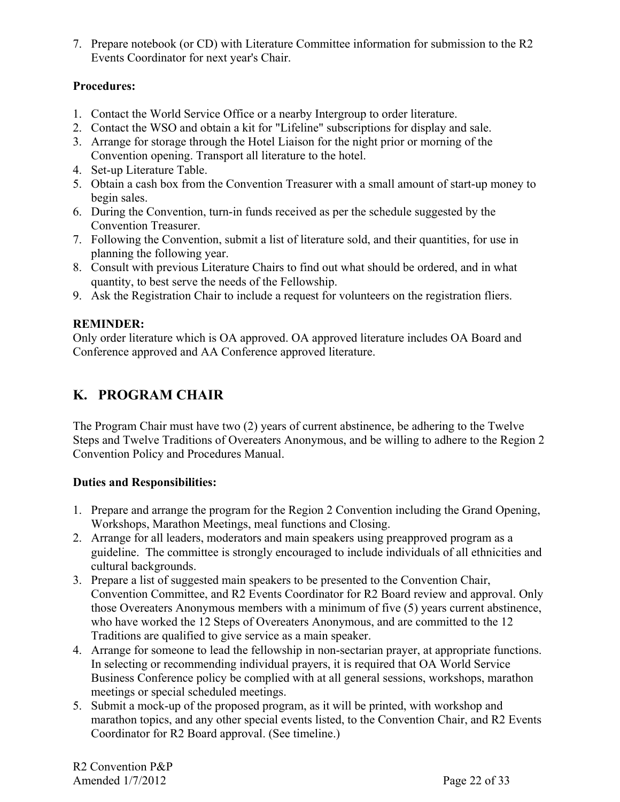7. Prepare notebook (or CD) with Literature Committee information for submission to the R2 Events Coordinator for next year's Chair.

#### **Procedures:**

- 1. Contact the World Service Office or a nearby Intergroup to order literature.
- 2. Contact the WSO and obtain a kit for "Lifeline" subscriptions for display and sale.
- 3. Arrange for storage through the Hotel Liaison for the night prior or morning of the Convention opening. Transport all literature to the hotel.
- 4. Set-up Literature Table.
- 5. Obtain a cash box from the Convention Treasurer with a small amount of start-up money to begin sales.
- 6. During the Convention, turn-in funds received as per the schedule suggested by the Convention Treasurer.
- 7. Following the Convention, submit a list of literature sold, and their quantities, for use in planning the following year.
- 8. Consult with previous Literature Chairs to find out what should be ordered, and in what quantity, to best serve the needs of the Fellowship.
- 9. Ask the Registration Chair to include a request for volunteers on the registration fliers.

### **REMINDER:**

Only order literature which is OA approved. OA approved literature includes OA Board and Conference approved and AA Conference approved literature.

# **K. PROGRAM CHAIR**

The Program Chair must have two (2) years of current abstinence, be adhering to the Twelve Steps and Twelve Traditions of Overeaters Anonymous, and be willing to adhere to the Region 2 Convention Policy and Procedures Manual.

### **Duties and Responsibilities:**

- 1. Prepare and arrange the program for the Region 2 Convention including the Grand Opening, Workshops, Marathon Meetings, meal functions and Closing.
- 2. Arrange for all leaders, moderators and main speakers using preapproved program as a guideline. The committee is strongly encouraged to include individuals of all ethnicities and cultural backgrounds.
- 3. Prepare a list of suggested main speakers to be presented to the Convention Chair, Convention Committee, and R2 Events Coordinator for R2 Board review and approval. Only those Overeaters Anonymous members with a minimum of five (5) years current abstinence, who have worked the 12 Steps of Overeaters Anonymous, and are committed to the 12 Traditions are qualified to give service as a main speaker.
- 4. Arrange for someone to lead the fellowship in non-sectarian prayer, at appropriate functions. In selecting or recommending individual prayers, it is required that OA World Service Business Conference policy be complied with at all general sessions, workshops, marathon meetings or special scheduled meetings.
- 5. Submit a mock-up of the proposed program, as it will be printed, with workshop and marathon topics, and any other special events listed, to the Convention Chair, and R2 Events Coordinator for R2 Board approval. (See timeline.)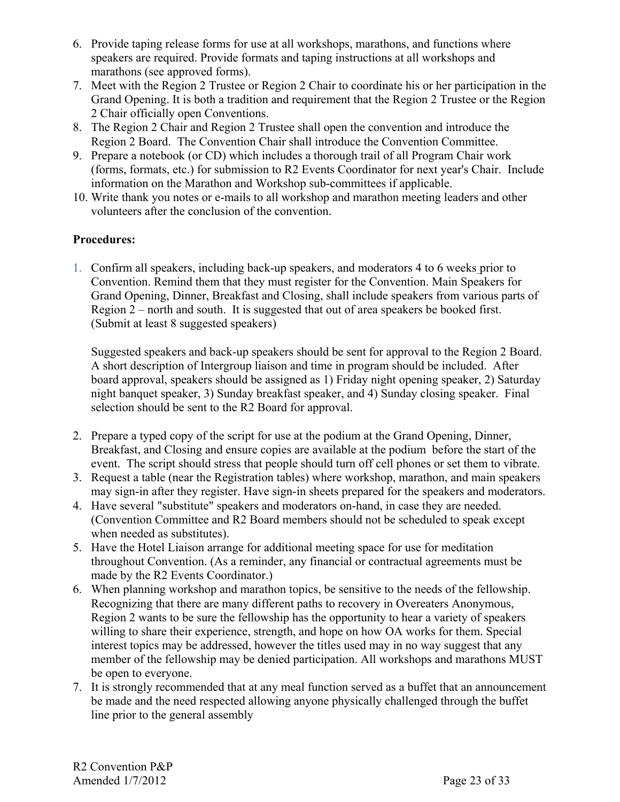- 6. Provide taping release forms for use at all workshops, marathons, and functions where speakers are required. Provide formats and taping instructions at all workshops and marathons (see approved forms).
- 7. Meet with the Region 2 Trustee or Region 2 Chair to coordinate his or her participation in the Grand Opening. It is both a tradition and requirement that the Region 2 Trustee or the Region 2 Chair officially open Conventions.
- 8. The Region 2 Chair and Region 2 Trustee shall open the convention and introduce the Region 2 Board. The Convention Chair shall introduce the Convention Committee.
- 9. Prepare a notebook (or CD) which includes a thorough trail of all Program Chair work (forms, formats, etc.) for submission to R2 Events Coordinator for next year's Chair. Include information on the Marathon and Workshop sub-committees if applicable.
- 10. Write thank you notes or e-mails to all workshop and marathon meeting leaders and other volunteers after the conclusion of the convention.

#### **Procedures:**

1. Confirm all speakers, including back-up speakers, and moderators 4 to 6 weeks prior to Convention. Remind them that they must register for the Convention. Main Speakers for Grand Opening, Dinner, Breakfast and Closing, shall include speakers from various parts of Region 2 – north and south. It is suggested that out of area speakers be booked first. (Submit at least 8 suggested speakers)

Suggested speakers and back-up speakers should be sent for approval to the Region 2 Board. A short description of Intergroup liaison and time in program should be included. After board approval, speakers should be assigned as 1) Friday night opening speaker, 2) Saturday night banquet speaker, 3) Sunday breakfast speaker, and 4) Sunday closing speaker. Final selection should be sent to the R2 Board for approval.

- 2. Prepare a typed copy of the script for use at the podium at the Grand Opening, Dinner, Breakfast, and Closing and ensure copies are available at the podium before the start of the event. The script should stress that people should turn off cell phones or set them to vibrate.
- 3. Request a table (near the Registration tables) where workshop, marathon, and main speakers may sign-in after they register. Have sign-in sheets prepared for the speakers and moderators.
- 4. Have several "substitute" speakers and moderators on-hand, in case they are needed. (Convention Committee and R2 Board members should not be scheduled to speak except when needed as substitutes).
- 5. Have the Hotel Liaison arrange for additional meeting space for use for meditation throughout Convention. (As a reminder, any financial or contractual agreements must be made by the R2 Events Coordinator.)
- 6. When planning workshop and marathon topics, be sensitive to the needs of the fellowship. Recognizing that there are many different paths to recovery in Overeaters Anonymous, Region 2 wants to be sure the fellowship has the opportunity to hear a variety of speakers willing to share their experience, strength, and hope on how OA works for them. Special interest topics may be addressed, however the titles used may in no way suggest that any member of the fellowship may be denied participation. All workshops and marathons MUST be open to everyone.
- 7. It is strongly recommended that at any meal function served as a buffet that an announcement be made and the need respected allowing anyone physically challenged through the buffet line prior to the general assembly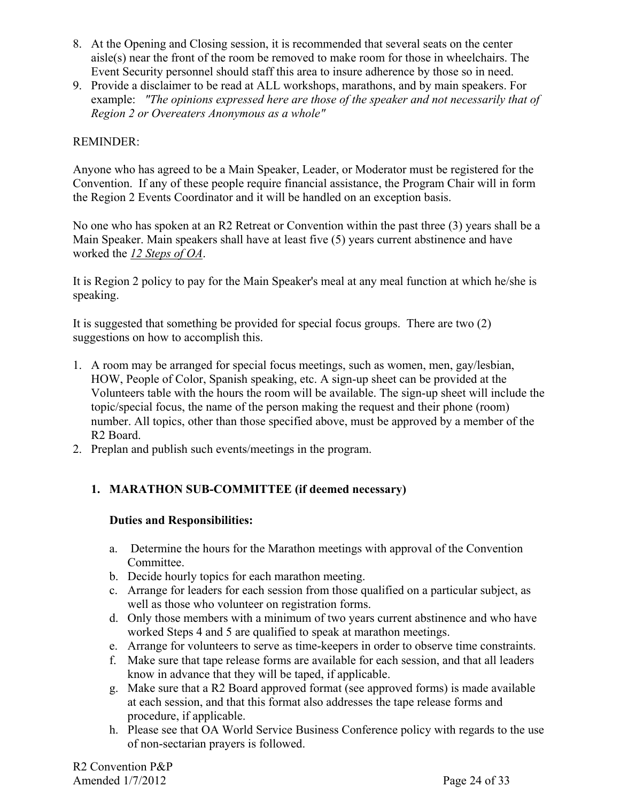- 8. At the Opening and Closing session, it is recommended that several seats on the center aisle(s) near the front of the room be removed to make room for those in wheelchairs. The Event Security personnel should staff this area to insure adherence by those so in need.
- 9. Provide a disclaimer to be read at ALL workshops, marathons, and by main speakers. For example: *"The opinions expressed here are those of the speaker and not necessarily that of Region 2 or Overeaters Anonymous as a whole"*

#### REMINDER:

Anyone who has agreed to be a Main Speaker, Leader, or Moderator must be registered for the Convention. If any of these people require financial assistance, the Program Chair will in form the Region 2 Events Coordinator and it will be handled on an exception basis.

No one who has spoken at an R2 Retreat or Convention within the past three (3) years shall be a Main Speaker. Main speakers shall have at least five (5) years current abstinence and have worked the *12 Steps of OA*.

It is Region 2 policy to pay for the Main Speaker's meal at any meal function at which he/she is speaking.

It is suggested that something be provided for special focus groups. There are two (2) suggestions on how to accomplish this.

- 1. A room may be arranged for special focus meetings, such as women, men, gay/lesbian, HOW, People of Color, Spanish speaking, etc. A sign-up sheet can be provided at the Volunteers table with the hours the room will be available. The sign-up sheet will include the topic/special focus, the name of the person making the request and their phone (room) number. All topics, other than those specified above, must be approved by a member of the R2 Board.
- 2. Preplan and publish such events/meetings in the program.

#### **1. MARATHON SUB-COMMITTEE (if deemed necessary)**

#### **Duties and Responsibilities:**

- a. Determine the hours for the Marathon meetings with approval of the Convention Committee.
- b. Decide hourly topics for each marathon meeting.
- c. Arrange for leaders for each session from those qualified on a particular subject, as well as those who volunteer on registration forms.
- d. Only those members with a minimum of two years current abstinence and who have worked Steps 4 and 5 are qualified to speak at marathon meetings.
- e. Arrange for volunteers to serve as time-keepers in order to observe time constraints.
- f. Make sure that tape release forms are available for each session, and that all leaders know in advance that they will be taped, if applicable.
- g. Make sure that a R2 Board approved format (see approved forms) is made available at each session, and that this format also addresses the tape release forms and procedure, if applicable.
- h. Please see that OA World Service Business Conference policy with regards to the use of non-sectarian prayers is followed.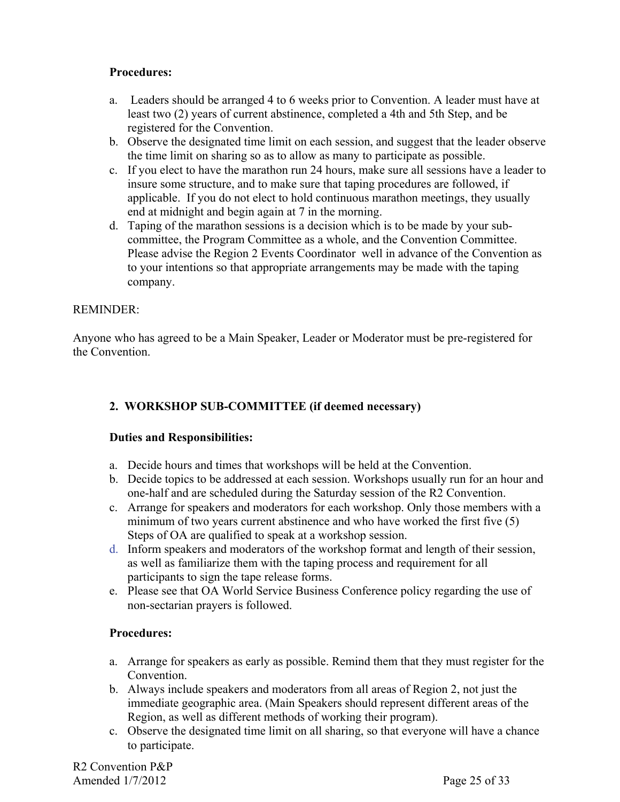#### **Procedures:**

- a. Leaders should be arranged 4 to 6 weeks prior to Convention. A leader must have at least two (2) years of current abstinence, completed a 4th and 5th Step, and be registered for the Convention.
- b. Observe the designated time limit on each session, and suggest that the leader observe the time limit on sharing so as to allow as many to participate as possible.
- c. If you elect to have the marathon run 24 hours, make sure all sessions have a leader to insure some structure, and to make sure that taping procedures are followed, if applicable. If you do not elect to hold continuous marathon meetings, they usually end at midnight and begin again at 7 in the morning.
- d. Taping of the marathon sessions is a decision which is to be made by your subcommittee, the Program Committee as a whole, and the Convention Committee. Please advise the Region 2 Events Coordinator well in advance of the Convention as to your intentions so that appropriate arrangements may be made with the taping company.

#### REMINDER:

Anyone who has agreed to be a Main Speaker, Leader or Moderator must be pre-registered for the Convention.

#### **2. WORKSHOP SUB-COMMITTEE (if deemed necessary)**

#### **Duties and Responsibilities:**

- a. Decide hours and times that workshops will be held at the Convention.
- b. Decide topics to be addressed at each session. Workshops usually run for an hour and one-half and are scheduled during the Saturday session of the R2 Convention.
- c. Arrange for speakers and moderators for each workshop. Only those members with a minimum of two years current abstinence and who have worked the first five (5) Steps of OA are qualified to speak at a workshop session.
- d. Inform speakers and moderators of the workshop format and length of their session, as well as familiarize them with the taping process and requirement for all participants to sign the tape release forms.
- e. Please see that OA World Service Business Conference policy regarding the use of non-sectarian prayers is followed.

#### **Procedures:**

- a. Arrange for speakers as early as possible. Remind them that they must register for the Convention.
- b. Always include speakers and moderators from all areas of Region 2, not just the immediate geographic area. (Main Speakers should represent different areas of the Region, as well as different methods of working their program).
- c. Observe the designated time limit on all sharing, so that everyone will have a chance to participate.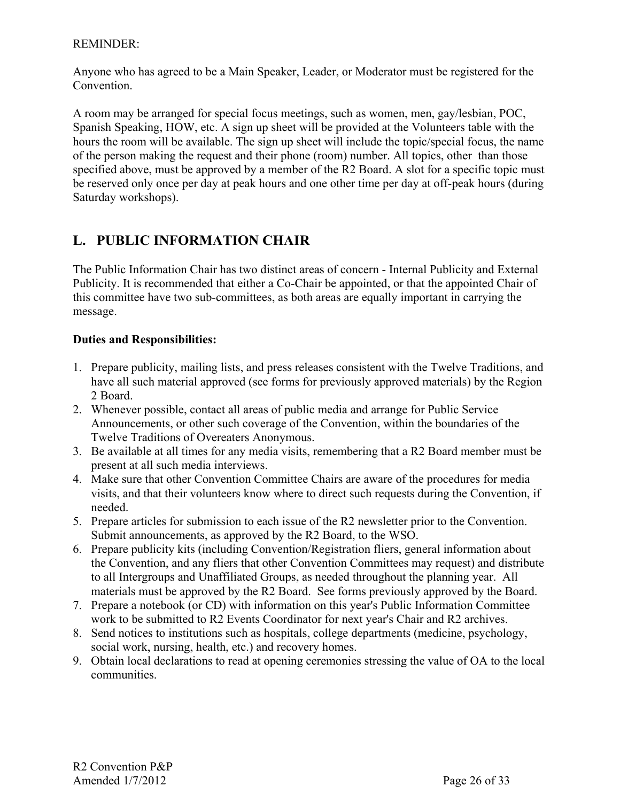#### REMINDER:

Anyone who has agreed to be a Main Speaker, Leader, or Moderator must be registered for the **Convention** 

A room may be arranged for special focus meetings, such as women, men, gay/lesbian, POC, Spanish Speaking, HOW, etc. A sign up sheet will be provided at the Volunteers table with the hours the room will be available. The sign up sheet will include the topic/special focus, the name of the person making the request and their phone (room) number. All topics, other than those specified above, must be approved by a member of the R2 Board. A slot for a specific topic must be reserved only once per day at peak hours and one other time per day at off-peak hours (during Saturday workshops).

# **L. PUBLIC INFORMATION CHAIR**

The Public Information Chair has two distinct areas of concern - Internal Publicity and External Publicity. It is recommended that either a Co-Chair be appointed, or that the appointed Chair of this committee have two sub-committees, as both areas are equally important in carrying the message.

#### **Duties and Responsibilities:**

- 1. Prepare publicity, mailing lists, and press releases consistent with the Twelve Traditions, and have all such material approved (see forms for previously approved materials) by the Region 2 Board.
- 2. Whenever possible, contact all areas of public media and arrange for Public Service Announcements, or other such coverage of the Convention, within the boundaries of the Twelve Traditions of Overeaters Anonymous.
- 3. Be available at all times for any media visits, remembering that a R2 Board member must be present at all such media interviews.
- 4. Make sure that other Convention Committee Chairs are aware of the procedures for media visits, and that their volunteers know where to direct such requests during the Convention, if needed.
- 5. Prepare articles for submission to each issue of the R2 newsletter prior to the Convention. Submit announcements, as approved by the R2 Board, to the WSO.
- 6. Prepare publicity kits (including Convention/Registration fliers, general information about the Convention, and any fliers that other Convention Committees may request) and distribute to all Intergroups and Unaffiliated Groups, as needed throughout the planning year. All materials must be approved by the R2 Board. See forms previously approved by the Board.
- 7. Prepare a notebook (or CD) with information on this year's Public Information Committee work to be submitted to R2 Events Coordinator for next year's Chair and R2 archives.
- 8. Send notices to institutions such as hospitals, college departments (medicine, psychology, social work, nursing, health, etc.) and recovery homes.
- 9. Obtain local declarations to read at opening ceremonies stressing the value of OA to the local communities.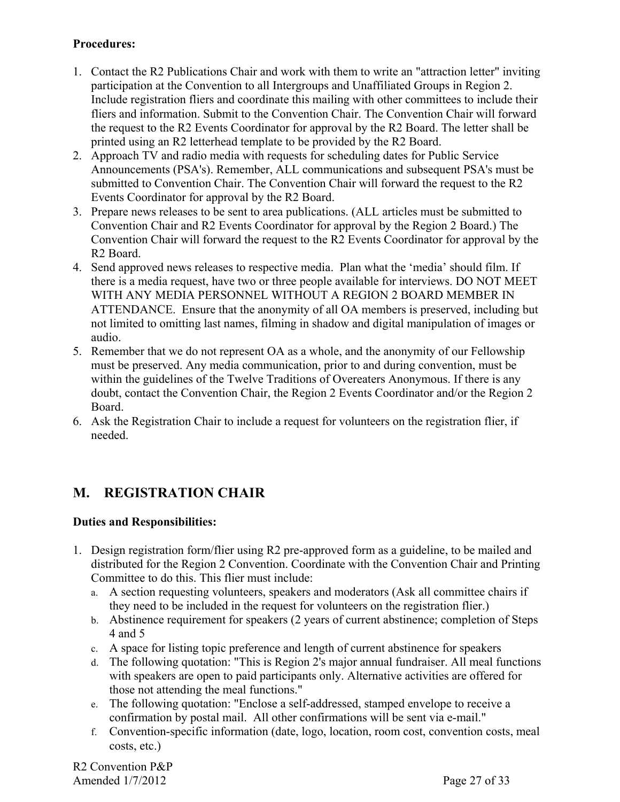#### **Procedures:**

- 1. Contact the R2 Publications Chair and work with them to write an "attraction letter" inviting participation at the Convention to all Intergroups and Unaffiliated Groups in Region 2. Include registration fliers and coordinate this mailing with other committees to include their fliers and information. Submit to the Convention Chair. The Convention Chair will forward the request to the R2 Events Coordinator for approval by the R2 Board. The letter shall be printed using an R2 letterhead template to be provided by the R2 Board.
- 2. Approach TV and radio media with requests for scheduling dates for Public Service Announcements (PSA's). Remember, ALL communications and subsequent PSA's must be submitted to Convention Chair. The Convention Chair will forward the request to the R2 Events Coordinator for approval by the R2 Board.
- 3. Prepare news releases to be sent to area publications. (ALL articles must be submitted to Convention Chair and R2 Events Coordinator for approval by the Region 2 Board.) The Convention Chair will forward the request to the R2 Events Coordinator for approval by the R2 Board.
- 4. Send approved news releases to respective media. Plan what the 'media' should film. If there is a media request, have two or three people available for interviews. DO NOT MEET WITH ANY MEDIA PERSONNEL WITHOUT A REGION 2 BOARD MEMBER IN ATTENDANCE. Ensure that the anonymity of all OA members is preserved, including but not limited to omitting last names, filming in shadow and digital manipulation of images or audio.
- 5. Remember that we do not represent OA as a whole, and the anonymity of our Fellowship must be preserved. Any media communication, prior to and during convention, must be within the guidelines of the Twelve Traditions of Overeaters Anonymous. If there is any doubt, contact the Convention Chair, the Region 2 Events Coordinator and/or the Region 2 Board.
- 6. Ask the Registration Chair to include a request for volunteers on the registration flier, if needed.

# **M. REGISTRATION CHAIR**

### **Duties and Responsibilities:**

- 1. Design registration form/flier using R2 pre-approved form as a guideline, to be mailed and distributed for the Region 2 Convention. Coordinate with the Convention Chair and Printing Committee to do this. This flier must include:
	- a. A section requesting volunteers, speakers and moderators (Ask all committee chairs if they need to be included in the request for volunteers on the registration flier.)
	- b. Abstinence requirement for speakers (2 years of current abstinence; completion of Steps 4 and 5
	- c. A space for listing topic preference and length of current abstinence for speakers
	- d. The following quotation: "This is Region 2's major annual fundraiser. All meal functions with speakers are open to paid participants only. Alternative activities are offered for those not attending the meal functions."
	- e. The following quotation: "Enclose a self-addressed, stamped envelope to receive a confirmation by postal mail. All other confirmations will be sent via e-mail."
	- f. Convention-specific information (date, logo, location, room cost, convention costs, meal costs, etc.)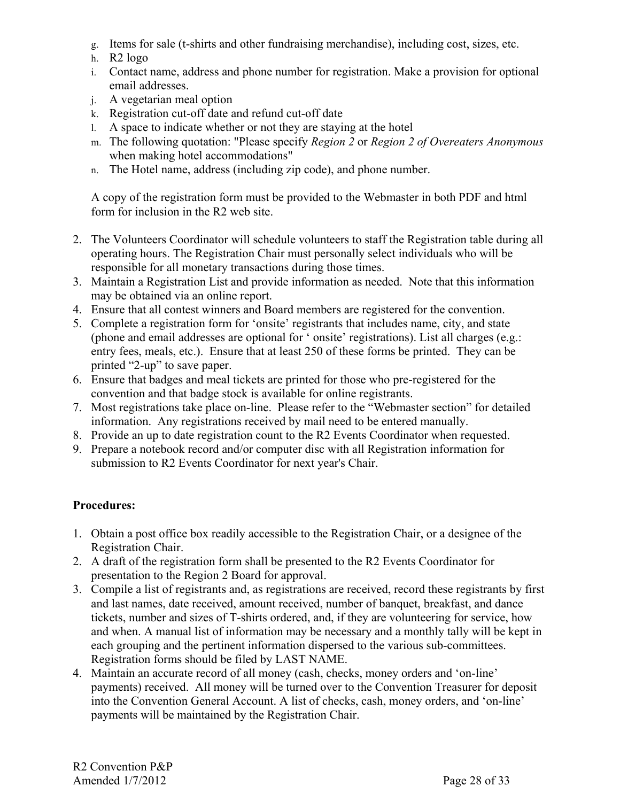- g. Items for sale (t-shirts and other fundraising merchandise), including cost, sizes, etc.
- h. R2 logo
- i. Contact name, address and phone number for registration. Make a provision for optional email addresses.
- j. A vegetarian meal option
- k. Registration cut-off date and refund cut-off date
- l. A space to indicate whether or not they are staying at the hotel
- m. The following quotation: "Please specify *Region 2* or *Region 2 of Overeaters Anonymous* when making hotel accommodations"
- n. The Hotel name, address (including zip code), and phone number.

A copy of the registration form must be provided to the Webmaster in both PDF and html form for inclusion in the R2 web site.

- 2. The Volunteers Coordinator will schedule volunteers to staff the Registration table during all operating hours. The Registration Chair must personally select individuals who will be responsible for all monetary transactions during those times.
- 3. Maintain a Registration List and provide information as needed. Note that this information may be obtained via an online report.
- 4. Ensure that all contest winners and Board members are registered for the convention.
- 5. Complete a registration form for 'onsite' registrants that includes name, city, and state (phone and email addresses are optional for ' onsite' registrations). List all charges (e.g.: entry fees, meals, etc.). Ensure that at least 250 of these forms be printed. They can be printed "2-up" to save paper.
- 6. Ensure that badges and meal tickets are printed for those who pre-registered for the convention and that badge stock is available for online registrants.
- 7. Most registrations take place on-line. Please refer to the "Webmaster section" for detailed information. Any registrations received by mail need to be entered manually.
- 8. Provide an up to date registration count to the R2 Events Coordinator when requested.
- 9. Prepare a notebook record and/or computer disc with all Registration information for submission to R2 Events Coordinator for next year's Chair.

### **Procedures:**

- 1. Obtain a post office box readily accessible to the Registration Chair, or a designee of the Registration Chair.
- 2. A draft of the registration form shall be presented to the R2 Events Coordinator for presentation to the Region 2 Board for approval.
- 3. Compile a list of registrants and, as registrations are received, record these registrants by first and last names, date received, amount received, number of banquet, breakfast, and dance tickets, number and sizes of T-shirts ordered, and, if they are volunteering for service, how and when. A manual list of information may be necessary and a monthly tally will be kept in each grouping and the pertinent information dispersed to the various sub-committees. Registration forms should be filed by LAST NAME.
- 4. Maintain an accurate record of all money (cash, checks, money orders and 'on-line' payments) received. All money will be turned over to the Convention Treasurer for deposit into the Convention General Account. A list of checks, cash, money orders, and 'on-line' payments will be maintained by the Registration Chair.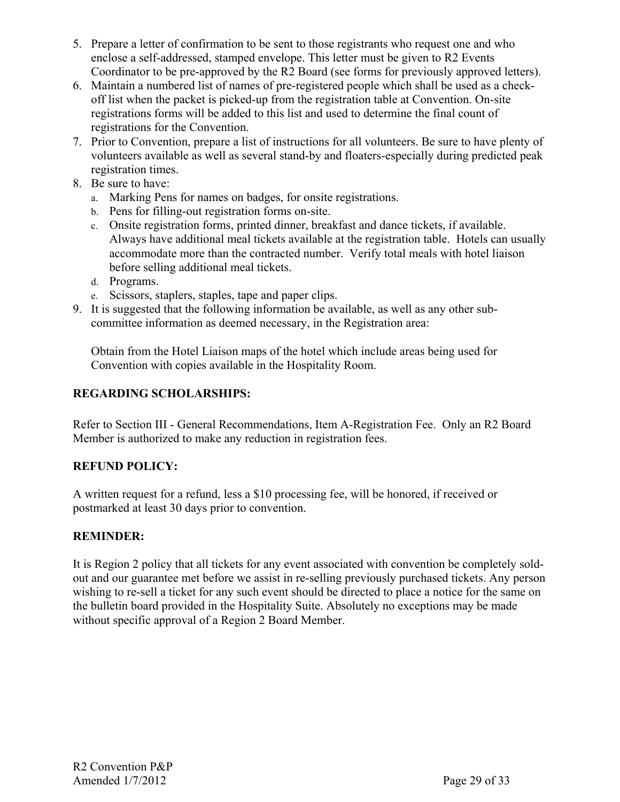- 5. Prepare a letter of confirmation to be sent to those registrants who request one and who enclose a self-addressed, stamped envelope. This letter must be given to R2 Events Coordinator to be pre-approved by the R2 Board (see forms for previously approved letters).
- 6. Maintain a numbered list of names of pre-registered people which shall be used as a checkoff list when the packet is picked-up from the registration table at Convention. On-site registrations forms will be added to this list and used to determine the final count of registrations for the Convention.
- 7. Prior to Convention, prepare a list of instructions for all volunteers. Be sure to have plenty of volunteers available as well as several stand-by and floaters-especially during predicted peak registration times.
- 8. Be sure to have:
	- a. Marking Pens for names on badges, for onsite registrations.
	- b. Pens for filling-out registration forms on-site.
	- c. Onsite registration forms, printed dinner, breakfast and dance tickets, if available. Always have additional meal tickets available at the registration table. Hotels can usually accommodate more than the contracted number. Verify total meals with hotel liaison before selling additional meal tickets.
	- d. Programs.
	- e. Scissors, staplers, staples, tape and paper clips.
- 9. It is suggested that the following information be available, as well as any other subcommittee information as deemed necessary, in the Registration area:

Obtain from the Hotel Liaison maps of the hotel which include areas being used for Convention with copies available in the Hospitality Room.

#### **REGARDING SCHOLARSHIPS:**

Refer to Section III - General Recommendations, Item A-Registration Fee. Only an R2 Board Member is authorized to make any reduction in registration fees.

#### **REFUND POLICY:**

A written request for a refund, less a \$10 processing fee, will be honored, if received or postmarked at least 30 days prior to convention.

#### **REMINDER:**

It is Region 2 policy that all tickets for any event associated with convention be completely soldout and our guarantee met before we assist in re-selling previously purchased tickets. Any person wishing to re-sell a ticket for any such event should be directed to place a notice for the same on the bulletin board provided in the Hospitality Suite. Absolutely no exceptions may be made without specific approval of a Region 2 Board Member.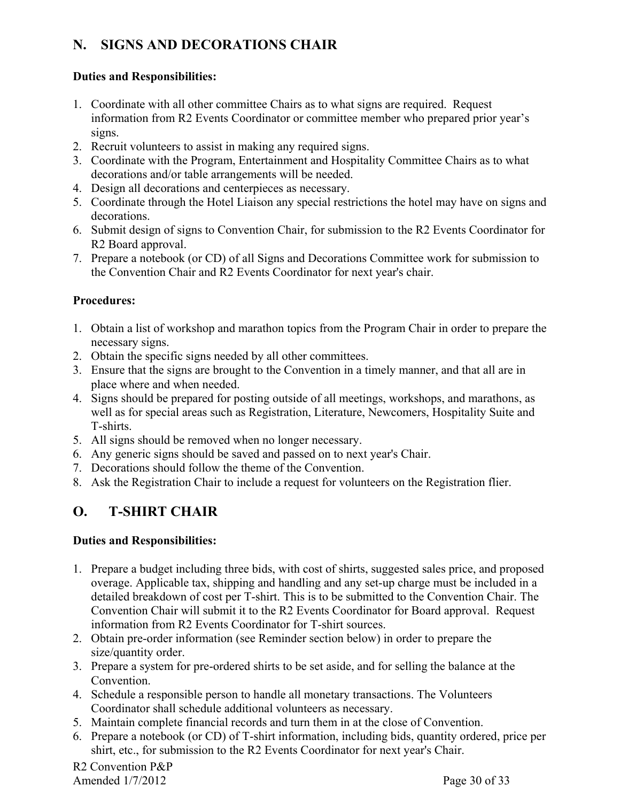# **N. SIGNS AND DECORATIONS CHAIR**

#### **Duties and Responsibilities:**

- 1. Coordinate with all other committee Chairs as to what signs are required. Request information from R2 Events Coordinator or committee member who prepared prior year's signs.
- 2. Recruit volunteers to assist in making any required signs.
- 3. Coordinate with the Program, Entertainment and Hospitality Committee Chairs as to what decorations and/or table arrangements will be needed.
- 4. Design all decorations and centerpieces as necessary.
- 5. Coordinate through the Hotel Liaison any special restrictions the hotel may have on signs and decorations.
- 6. Submit design of signs to Convention Chair, for submission to the R2 Events Coordinator for R2 Board approval.
- 7. Prepare a notebook (or CD) of all Signs and Decorations Committee work for submission to the Convention Chair and R2 Events Coordinator for next year's chair.

#### **Procedures:**

- 1. Obtain a list of workshop and marathon topics from the Program Chair in order to prepare the necessary signs.
- 2. Obtain the specific signs needed by all other committees.
- 3. Ensure that the signs are brought to the Convention in a timely manner, and that all are in place where and when needed.
- 4. Signs should be prepared for posting outside of all meetings, workshops, and marathons, as well as for special areas such as Registration, Literature, Newcomers, Hospitality Suite and T-shirts.
- 5. All signs should be removed when no longer necessary.
- 6. Any generic signs should be saved and passed on to next year's Chair.
- 7. Decorations should follow the theme of the Convention.
- 8. Ask the Registration Chair to include a request for volunteers on the Registration flier.

# **O. T-SHIRT CHAIR**

#### **Duties and Responsibilities:**

- 1. Prepare a budget including three bids, with cost of shirts, suggested sales price, and proposed overage. Applicable tax, shipping and handling and any set-up charge must be included in a detailed breakdown of cost per T-shirt. This is to be submitted to the Convention Chair. The Convention Chair will submit it to the R2 Events Coordinator for Board approval. Request information from R2 Events Coordinator for T-shirt sources.
- 2. Obtain pre-order information (see Reminder section below) in order to prepare the size/quantity order.
- 3. Prepare a system for pre-ordered shirts to be set aside, and for selling the balance at the Convention.
- 4. Schedule a responsible person to handle all monetary transactions. The Volunteers Coordinator shall schedule additional volunteers as necessary.
- 5. Maintain complete financial records and turn them in at the close of Convention.
- 6. Prepare a notebook (or CD) of T-shirt information, including bids, quantity ordered, price per shirt, etc., for submission to the R2 Events Coordinator for next year's Chair.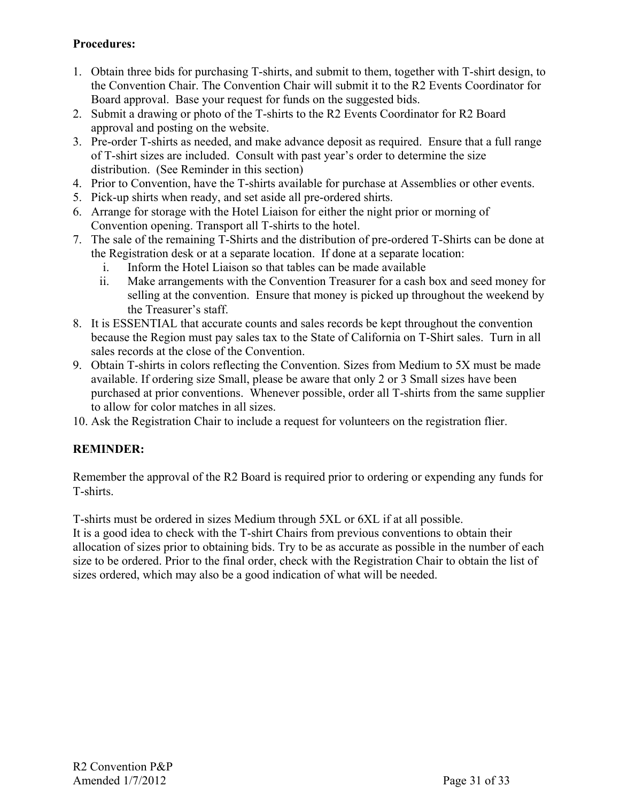#### **Procedures:**

- 1. Obtain three bids for purchasing T-shirts, and submit to them, together with T-shirt design, to the Convention Chair. The Convention Chair will submit it to the R2 Events Coordinator for Board approval. Base your request for funds on the suggested bids.
- 2. Submit a drawing or photo of the T-shirts to the R2 Events Coordinator for R2 Board approval and posting on the website.
- 3. Pre-order T-shirts as needed, and make advance deposit as required. Ensure that a full range of T-shirt sizes are included. Consult with past year's order to determine the size distribution. (See Reminder in this section)
- 4. Prior to Convention, have the T-shirts available for purchase at Assemblies or other events.
- 5. Pick-up shirts when ready, and set aside all pre-ordered shirts.
- 6. Arrange for storage with the Hotel Liaison for either the night prior or morning of Convention opening. Transport all T-shirts to the hotel.
- 7. The sale of the remaining T-Shirts and the distribution of pre-ordered T-Shirts can be done at the Registration desk or at a separate location. If done at a separate location:
	- i. Inform the Hotel Liaison so that tables can be made available
	- ii. Make arrangements with the Convention Treasurer for a cash box and seed money for selling at the convention. Ensure that money is picked up throughout the weekend by the Treasurer's staff.
- 8. It is ESSENTIAL that accurate counts and sales records be kept throughout the convention because the Region must pay sales tax to the State of California on T-Shirt sales. Turn in all sales records at the close of the Convention.
- 9. Obtain T-shirts in colors reflecting the Convention. Sizes from Medium to 5X must be made available. If ordering size Small, please be aware that only 2 or 3 Small sizes have been purchased at prior conventions. Whenever possible, order all T-shirts from the same supplier to allow for color matches in all sizes.
- 10. Ask the Registration Chair to include a request for volunteers on the registration flier.

#### **REMINDER:**

Remember the approval of the R2 Board is required prior to ordering or expending any funds for T-shirts.

T-shirts must be ordered in sizes Medium through 5XL or 6XL if at all possible.

It is a good idea to check with the T-shirt Chairs from previous conventions to obtain their allocation of sizes prior to obtaining bids. Try to be as accurate as possible in the number of each size to be ordered. Prior to the final order, check with the Registration Chair to obtain the list of sizes ordered, which may also be a good indication of what will be needed.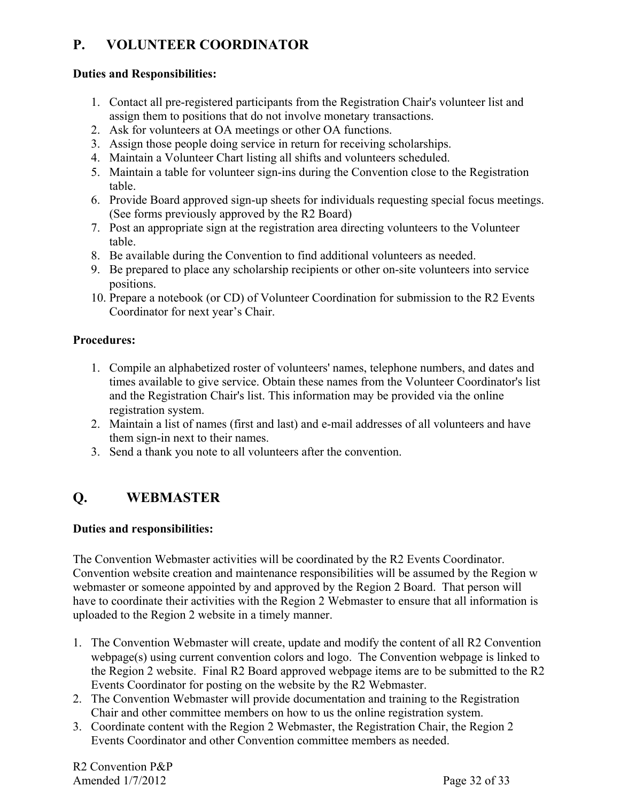# **P. VOLUNTEER COORDINATOR**

#### **Duties and Responsibilities:**

- 1. Contact all pre-registered participants from the Registration Chair's volunteer list and assign them to positions that do not involve monetary transactions.
- 2. Ask for volunteers at OA meetings or other OA functions.
- 3. Assign those people doing service in return for receiving scholarships.
- 4. Maintain a Volunteer Chart listing all shifts and volunteers scheduled.
- 5. Maintain a table for volunteer sign-ins during the Convention close to the Registration table.
- 6. Provide Board approved sign-up sheets for individuals requesting special focus meetings. (See forms previously approved by the R2 Board)
- 7. Post an appropriate sign at the registration area directing volunteers to the Volunteer table.
- 8. Be available during the Convention to find additional volunteers as needed.
- 9. Be prepared to place any scholarship recipients or other on-site volunteers into service positions.
- 10. Prepare a notebook (or CD) of Volunteer Coordination for submission to the R2 Events Coordinator for next year's Chair.

#### **Procedures:**

- 1. Compile an alphabetized roster of volunteers' names, telephone numbers, and dates and times available to give service. Obtain these names from the Volunteer Coordinator's list and the Registration Chair's list. This information may be provided via the online registration system.
- 2. Maintain a list of names (first and last) and e-mail addresses of all volunteers and have them sign-in next to their names.
- 3. Send a thank you note to all volunteers after the convention.

# **Q. WEBMASTER**

#### **Duties and responsibilities:**

The Convention Webmaster activities will be coordinated by the R2 Events Coordinator. Convention website creation and maintenance responsibilities will be assumed by the Region w webmaster or someone appointed by and approved by the Region 2 Board. That person will have to coordinate their activities with the Region 2 Webmaster to ensure that all information is uploaded to the Region 2 website in a timely manner.

- 1. The Convention Webmaster will create, update and modify the content of all R2 Convention webpage(s) using current convention colors and logo. The Convention webpage is linked to the Region 2 website. Final R2 Board approved webpage items are to be submitted to the R2 Events Coordinator for posting on the website by the R2 Webmaster.
- 2. The Convention Webmaster will provide documentation and training to the Registration Chair and other committee members on how to us the online registration system.
- 3. Coordinate content with the Region 2 Webmaster, the Registration Chair, the Region 2 Events Coordinator and other Convention committee members as needed.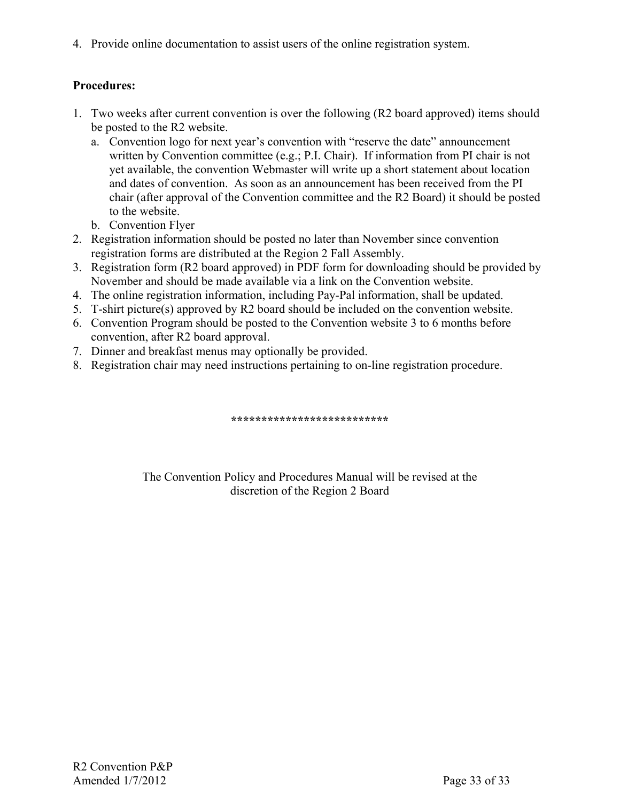4. Provide online documentation to assist users of the online registration system.

#### **Procedures:**

- 1. Two weeks after current convention is over the following (R2 board approved) items should be posted to the R2 website.
	- a. Convention logo for next year's convention with "reserve the date" announcement written by Convention committee (e.g.; P.I. Chair). If information from PI chair is not yet available, the convention Webmaster will write up a short statement about location and dates of convention. As soon as an announcement has been received from the PI chair (after approval of the Convention committee and the R2 Board) it should be posted to the website.
	- b. Convention Flyer
- 2. Registration information should be posted no later than November since convention registration forms are distributed at the Region 2 Fall Assembly.
- 3. Registration form (R2 board approved) in PDF form for downloading should be provided by November and should be made available via a link on the Convention website.
- 4. The online registration information, including Pay-Pal information, shall be updated.
- 5. T-shirt picture(s) approved by R2 board should be included on the convention website.
- 6. Convention Program should be posted to the Convention website 3 to 6 months before convention, after R2 board approval.
- 7. Dinner and breakfast menus may optionally be provided.
- 8. Registration chair may need instructions pertaining to on-line registration procedure.

**\*\*\*\*\*\*\*\*\*\*\*\*\*\*\*\*\*\*\*\*\*\*\*\*\*\*** 

The Convention Policy and Procedures Manual will be revised at the discretion of the Region 2 Board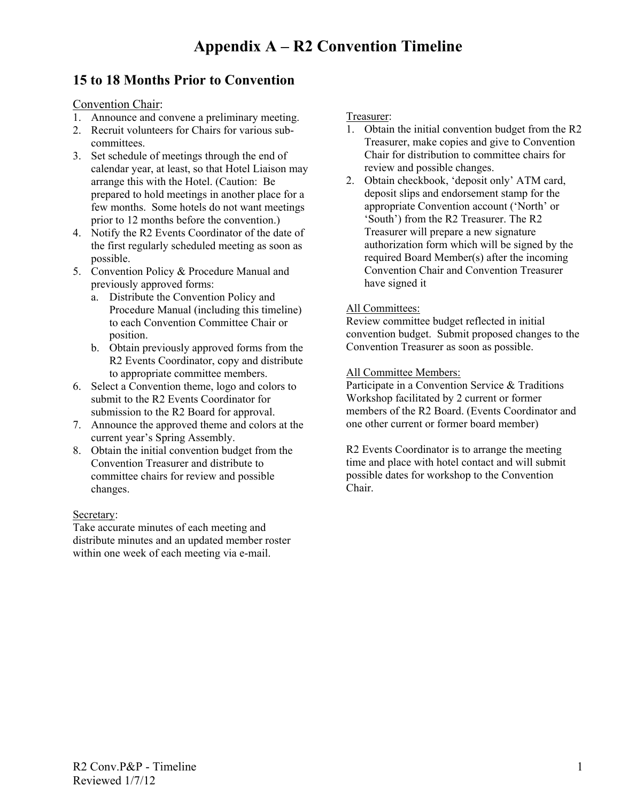### **15 to 18 Months Prior to Convention**

Convention Chair:

- 1. Announce and convene a preliminary meeting.
- 2. Recruit volunteers for Chairs for various subcommittees.
- 3. Set schedule of meetings through the end of calendar year, at least, so that Hotel Liaison may arrange this with the Hotel. (Caution: Be prepared to hold meetings in another place for a few months. Some hotels do not want meetings prior to 12 months before the convention.)
- 4. Notify the R2 Events Coordinator of the date of the first regularly scheduled meeting as soon as possible.
- 5. Convention Policy & Procedure Manual and previously approved forms:
	- a. Distribute the Convention Policy and Procedure Manual (including this timeline) to each Convention Committee Chair or position.
	- b. Obtain previously approved forms from the R2 Events Coordinator, copy and distribute to appropriate committee members.
- 6. Select a Convention theme, logo and colors to submit to the R2 Events Coordinator for submission to the R2 Board for approval.
- 7. Announce the approved theme and colors at the current year's Spring Assembly.
- 8. Obtain the initial convention budget from the Convention Treasurer and distribute to committee chairs for review and possible changes.

#### Secretary:

Take accurate minutes of each meeting and distribute minutes and an updated member roster within one week of each meeting via e-mail.

Treasurer:

- 1. Obtain the initial convention budget from the R2 Treasurer, make copies and give to Convention Chair for distribution to committee chairs for review and possible changes.
- 2. Obtain checkbook, 'deposit only' ATM card, deposit slips and endorsement stamp for the appropriate Convention account ('North' or 'South') from the R2 Treasurer. The R2 Treasurer will prepare a new signature authorization form which will be signed by the required Board Member(s) after the incoming Convention Chair and Convention Treasurer have signed it

#### All Committees:

Review committee budget reflected in initial convention budget. Submit proposed changes to the Convention Treasurer as soon as possible.

#### All Committee Members:

Participate in a Convention Service & Traditions Workshop facilitated by 2 current or former members of the R2 Board. (Events Coordinator and one other current or former board member)

R2 Events Coordinator is to arrange the meeting time and place with hotel contact and will submit possible dates for workshop to the Convention Chair.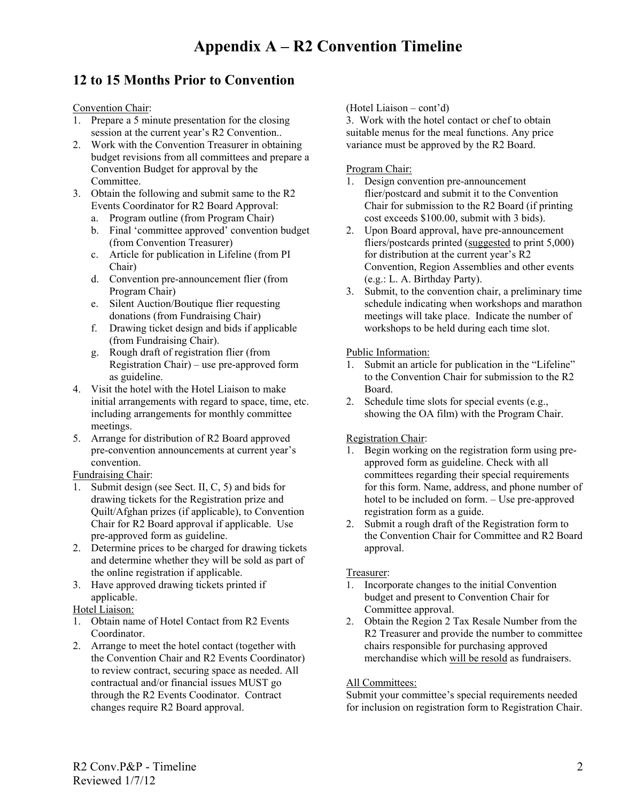# **12 to 15 Months Prior to Convention**

Convention Chair:

- 1. Prepare a 5 minute presentation for the closing session at the current year's R2 Convention..
- 2. Work with the Convention Treasurer in obtaining budget revisions from all committees and prepare a Convention Budget for approval by the Committee.
- 3. Obtain the following and submit same to the R2 Events Coordinator for R2 Board Approval:
	- a. Program outline (from Program Chair)
	- b. Final 'committee approved' convention budget (from Convention Treasurer)
	- c. Article for publication in Lifeline (from PI Chair)
	- d. Convention pre-announcement flier (from Program Chair)
	- e. Silent Auction/Boutique flier requesting donations (from Fundraising Chair)
	- f. Drawing ticket design and bids if applicable (from Fundraising Chair).
	- g. Rough draft of registration flier (from Registration Chair) – use pre-approved form as guideline.
- 4. Visit the hotel with the Hotel Liaison to make initial arrangements with regard to space, time, etc. including arrangements for monthly committee meetings.
- 5. Arrange for distribution of R2 Board approved pre-convention announcements at current year's convention.

Fundraising Chair:

- 1. Submit design (see Sect. II, C, 5) and bids for drawing tickets for the Registration prize and Quilt/Afghan prizes (if applicable), to Convention Chair for R2 Board approval if applicable. Use pre-approved form as guideline.
- 2. Determine prices to be charged for drawing tickets and determine whether they will be sold as part of the online registration if applicable.
- 3. Have approved drawing tickets printed if applicable.

Hotel Liaison:

- 1. Obtain name of Hotel Contact from R2 Events Coordinator.
- 2. Arrange to meet the hotel contact (together with the Convention Chair and R2 Events Coordinator) to review contract, securing space as needed. All contractual and/or financial issues MUST go through the R2 Events Coodinator. Contract changes require R2 Board approval.

(Hotel Liaison – cont'd)

3. Work with the hotel contact or chef to obtain suitable menus for the meal functions. Any price variance must be approved by the R2 Board.

#### Program Chair:

- 1. Design convention pre-announcement flier/postcard and submit it to the Convention Chair for submission to the R2 Board (if printing cost exceeds \$100.00, submit with 3 bids).
- 2. Upon Board approval, have pre-announcement fliers/postcards printed (suggested to print 5,000) for distribution at the current year's R2 Convention, Region Assemblies and other events (e.g.: L. A. Birthday Party).
- 3. Submit, to the convention chair, a preliminary time schedule indicating when workshops and marathon meetings will take place. Indicate the number of workshops to be held during each time slot.

#### Public Information:

- 1. Submit an article for publication in the "Lifeline" to the Convention Chair for submission to the R2 Board.
- 2. Schedule time slots for special events (e.g., showing the OA film) with the Program Chair.

#### Registration Chair:

- 1. Begin working on the registration form using preapproved form as guideline. Check with all committees regarding their special requirements for this form. Name, address, and phone number of hotel to be included on form. – Use pre-approved registration form as a guide.
- 2. Submit a rough draft of the Registration form to the Convention Chair for Committee and R2 Board approval.

#### Treasurer:

- 1. Incorporate changes to the initial Convention budget and present to Convention Chair for Committee approval.
- 2. Obtain the Region 2 Tax Resale Number from the R2 Treasurer and provide the number to committee chairs responsible for purchasing approved merchandise which will be resold as fundraisers.

#### All Committees:

Submit your committee's special requirements needed for inclusion on registration form to Registration Chair.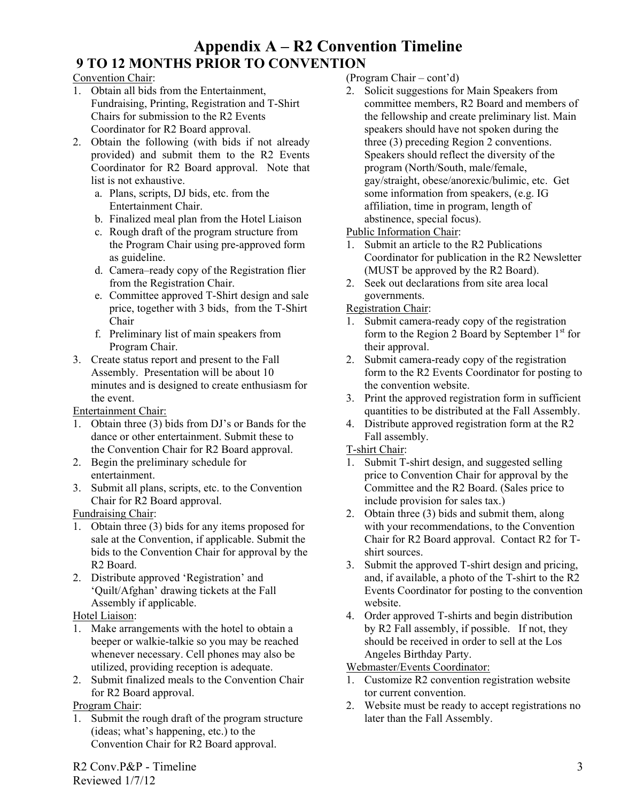# **Appendix A – R2 Convention Timeline 9 TO 12 MONTHS PRIOR TO CONVENTION**

#### Convention Chair:

- 1. Obtain all bids from the Entertainment, Fundraising, Printing, Registration and T-Shirt Chairs for submission to the R2 Events Coordinator for R2 Board approval.
- 2. Obtain the following (with bids if not already provided) and submit them to the R2 Events Coordinator for R2 Board approval. Note that list is not exhaustive.
	- a. Plans, scripts, DJ bids, etc. from the Entertainment Chair.
	- b. Finalized meal plan from the Hotel Liaison
	- c. Rough draft of the program structure from the Program Chair using pre-approved form as guideline.
	- d. Camera–ready copy of the Registration flier from the Registration Chair.
	- e. Committee approved T-Shirt design and sale price, together with 3 bids, from the T-Shirt Chair
	- f. Preliminary list of main speakers from Program Chair.
- 3. Create status report and present to the Fall Assembly. Presentation will be about 10 minutes and is designed to create enthusiasm for the event.

Entertainment Chair:

- 1. Obtain three (3) bids from DJ's or Bands for the dance or other entertainment. Submit these to the Convention Chair for R2 Board approval.
- 2. Begin the preliminary schedule for entertainment.
- 3. Submit all plans, scripts, etc. to the Convention Chair for R2 Board approval.

Fundraising Chair:

- 1. Obtain three (3) bids for any items proposed for sale at the Convention, if applicable. Submit the bids to the Convention Chair for approval by the R2 Board.
- 2. Distribute approved 'Registration' and 'Quilt/Afghan' drawing tickets at the Fall Assembly if applicable.

Hotel Liaison:

- 1. Make arrangements with the hotel to obtain a beeper or walkie-talkie so you may be reached whenever necessary. Cell phones may also be utilized, providing reception is adequate.
- 2. Submit finalized meals to the Convention Chair for R2 Board approval.

Program Chair:

1. Submit the rough draft of the program structure (ideas; what's happening, etc.) to the Convention Chair for R2 Board approval.

R2 Conv.P&P - Timeline Reviewed 1/7/12

- (Program Chair cont'd)
- 2. Solicit suggestions for Main Speakers from committee members, R2 Board and members of the fellowship and create preliminary list. Main speakers should have not spoken during the three (3) preceding Region 2 conventions. Speakers should reflect the diversity of the program (North/South, male/female, gay/straight, obese/anorexic/bulimic, etc. Get some information from speakers, (e.g. IG affiliation, time in program, length of abstinence, special focus).
- Public Information Chair:
- 1. Submit an article to the R2 Publications Coordinator for publication in the R2 Newsletter (MUST be approved by the R2 Board).
- 2. Seek out declarations from site area local governments.

#### Registration Chair:

- 1. Submit camera-ready copy of the registration form to the Region 2 Board by September  $1<sup>st</sup>$  for their approval.
- 2. Submit camera-ready copy of the registration form to the R2 Events Coordinator for posting to the convention website.
- 3. Print the approved registration form in sufficient quantities to be distributed at the Fall Assembly.
- 4. Distribute approved registration form at the R2 Fall assembly.

#### T-shirt Chair:

- 1. Submit T-shirt design, and suggested selling price to Convention Chair for approval by the Committee and the R2 Board. (Sales price to include provision for sales tax.)
- 2. Obtain three (3) bids and submit them, along with your recommendations, to the Convention Chair for R2 Board approval. Contact R2 for Tshirt sources.
- 3. Submit the approved T-shirt design and pricing, and, if available, a photo of the T-shirt to the R2 Events Coordinator for posting to the convention website.
- 4. Order approved T-shirts and begin distribution by R2 Fall assembly, if possible. If not, they should be received in order to sell at the Los Angeles Birthday Party.

Webmaster/Events Coordinator:

- 1. Customize R2 convention registration website tor current convention.
- 2. Website must be ready to accept registrations no later than the Fall Assembly.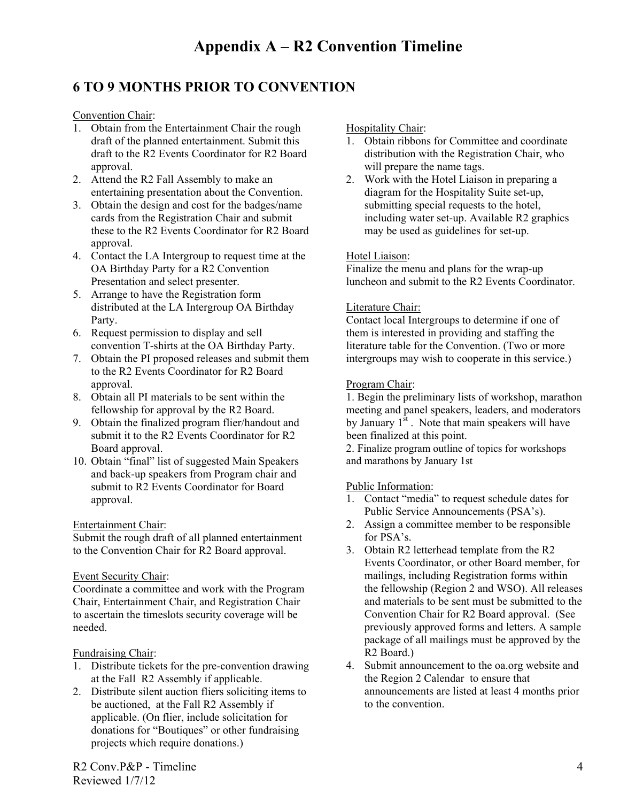# **6 TO 9 MONTHS PRIOR TO CONVENTION**

Convention Chair:

- 1. Obtain from the Entertainment Chair the rough draft of the planned entertainment. Submit this draft to the R2 Events Coordinator for R2 Board approval.
- 2. Attend the R2 Fall Assembly to make an entertaining presentation about the Convention.
- 3. Obtain the design and cost for the badges/name cards from the Registration Chair and submit these to the R2 Events Coordinator for R2 Board approval.
- 4. Contact the LA Intergroup to request time at the OA Birthday Party for a R2 Convention Presentation and select presenter.
- 5. Arrange to have the Registration form distributed at the LA Intergroup OA Birthday Party.
- 6. Request permission to display and sell convention T-shirts at the OA Birthday Party.
- 7. Obtain the PI proposed releases and submit them to the R2 Events Coordinator for R2 Board approval.
- 8. Obtain all PI materials to be sent within the fellowship for approval by the R2 Board.
- 9. Obtain the finalized program flier/handout and submit it to the R2 Events Coordinator for R2 Board approval.
- 10. Obtain "final" list of suggested Main Speakers and back-up speakers from Program chair and submit to R2 Events Coordinator for Board approval.

#### Entertainment Chair:

Submit the rough draft of all planned entertainment to the Convention Chair for R2 Board approval.

#### Event Security Chair:

Coordinate a committee and work with the Program Chair, Entertainment Chair, and Registration Chair to ascertain the timeslots security coverage will be needed.

#### Fundraising Chair:

- 1. Distribute tickets for the pre-convention drawing at the Fall R2 Assembly if applicable.
- 2. Distribute silent auction fliers soliciting items to be auctioned, at the Fall R2 Assembly if applicable. (On flier, include solicitation for donations for "Boutiques" or other fundraising projects which require donations.)

R2 Conv.P&P - Timeline Reviewed 1/7/12

Hospitality Chair:

- 1. Obtain ribbons for Committee and coordinate distribution with the Registration Chair, who will prepare the name tags.
- 2. Work with the Hotel Liaison in preparing a diagram for the Hospitality Suite set-up, submitting special requests to the hotel, including water set-up. Available R2 graphics may be used as guidelines for set-up.

#### Hotel Liaison:

Finalize the menu and plans for the wrap-up luncheon and submit to the R2 Events Coordinator.

#### Literature Chair:

Contact local Intergroups to determine if one of them is interested in providing and staffing the literature table for the Convention. (Two or more intergroups may wish to cooperate in this service.)

#### Program Chair:

1. Begin the preliminary lists of workshop, marathon meeting and panel speakers, leaders, and moderators by January  $1^{st}$ . Note that main speakers will have been finalized at this point.

2. Finalize program outline of topics for workshops and marathons by January 1st

#### Public Information:

- 1. Contact "media" to request schedule dates for Public Service Announcements (PSA's).
- 2. Assign a committee member to be responsible for PSA's.
- 3. Obtain R2 letterhead template from the R2 Events Coordinator, or other Board member, for mailings, including Registration forms within the fellowship (Region 2 and WSO). All releases and materials to be sent must be submitted to the Convention Chair for R2 Board approval. (See previously approved forms and letters. A sample package of all mailings must be approved by the R2 Board.)
- 4. Submit announcement to the oa.org website and the Region 2 Calendar to ensure that announcements are listed at least 4 months prior to the convention.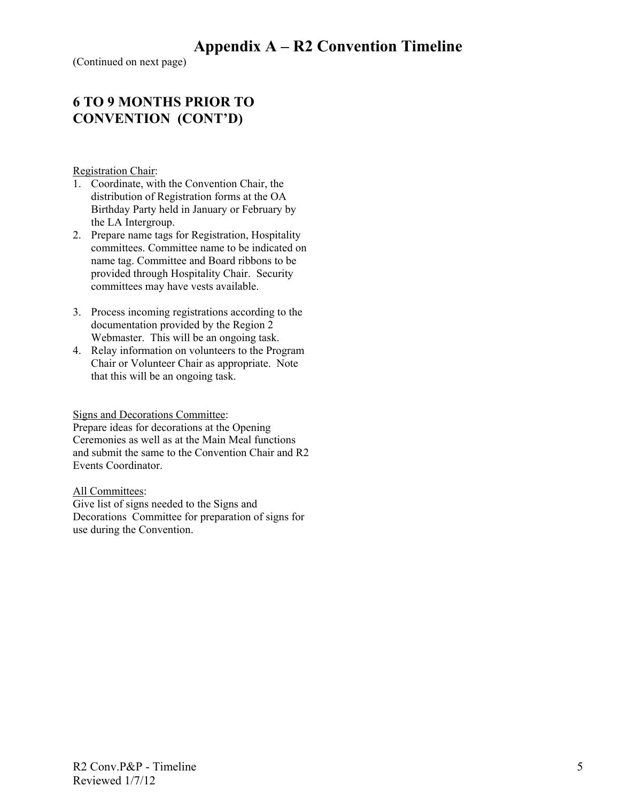(Continued on next page)

### **6 TO 9 MONTHS PRIOR TO CONVENTION (CONT'D)**

Registration Chair:

- 1. Coordinate, with the Convention Chair, the distribution of Registration forms at the OA Birthday Party held in January or February by the LA Intergroup.
- 2. Prepare name tags for Registration, Hospitality committees. Committee name to be indicated on name tag. Committee and Board ribbons to be provided through Hospitality Chair. Security committees may have vests available.
- 3. Process incoming registrations according to the documentation provided by the Region 2 Webmaster. This will be an ongoing task.
- 4. Relay information on volunteers to the Program Chair or Volunteer Chair as appropriate. Note that this will be an ongoing task.

#### Signs and Decorations Committee:

Prepare ideas for decorations at the Opening Ceremonies as well as at the Main Meal functions and submit the same to the Convention Chair and R2 Events Coordinator.

All Committees:

Give list of signs needed to the Signs and Decorations Committee for preparation of signs for use during the Convention.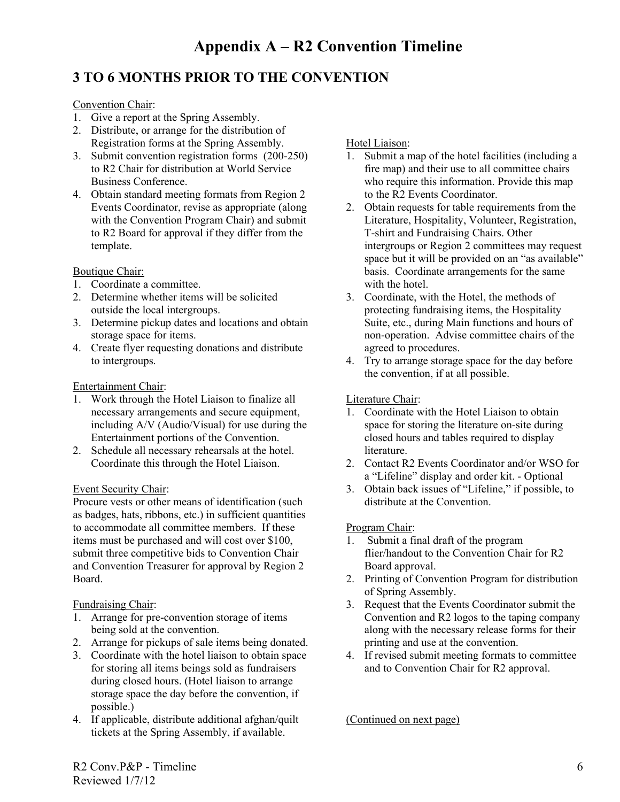# **3 TO 6 MONTHS PRIOR TO THE CONVENTION**

#### Convention Chair:

- 1. Give a report at the Spring Assembly.
- 2. Distribute, or arrange for the distribution of Registration forms at the Spring Assembly.
- 3. Submit convention registration forms (200-250) to R2 Chair for distribution at World Service Business Conference.
- 4. Obtain standard meeting formats from Region 2 Events Coordinator, revise as appropriate (along with the Convention Program Chair) and submit to R2 Board for approval if they differ from the template.

#### Boutique Chair:

- 1. Coordinate a committee.
- 2. Determine whether items will be solicited outside the local intergroups.
- 3. Determine pickup dates and locations and obtain storage space for items.
- 4. Create flyer requesting donations and distribute to intergroups.

#### Entertainment Chair:

- 1. Work through the Hotel Liaison to finalize all necessary arrangements and secure equipment, including A/V (Audio/Visual) for use during the Entertainment portions of the Convention.
- 2. Schedule all necessary rehearsals at the hotel. Coordinate this through the Hotel Liaison.

#### Event Security Chair:

Procure vests or other means of identification (such as badges, hats, ribbons, etc.) in sufficient quantities to accommodate all committee members. If these items must be purchased and will cost over \$100, submit three competitive bids to Convention Chair and Convention Treasurer for approval by Region 2 Board.

#### Fundraising Chair:

- 1. Arrange for pre-convention storage of items being sold at the convention.
- 2. Arrange for pickups of sale items being donated.
- 3. Coordinate with the hotel liaison to obtain space for storing all items beings sold as fundraisers during closed hours. (Hotel liaison to arrange storage space the day before the convention, if possible.)
- 4. If applicable, distribute additional afghan/quilt tickets at the Spring Assembly, if available.

#### Hotel Liaison:

- 1. Submit a map of the hotel facilities (including a fire map) and their use to all committee chairs who require this information. Provide this map to the R2 Events Coordinator.
- 2. Obtain requests for table requirements from the Literature, Hospitality, Volunteer, Registration, T-shirt and Fundraising Chairs. Other intergroups or Region 2 committees may request space but it will be provided on an "as available" basis. Coordinate arrangements for the same with the hotel
- 3. Coordinate, with the Hotel, the methods of protecting fundraising items, the Hospitality Suite, etc., during Main functions and hours of non-operation. Advise committee chairs of the agreed to procedures.
- 4. Try to arrange storage space for the day before the convention, if at all possible.

#### Literature Chair:

- 1. Coordinate with the Hotel Liaison to obtain space for storing the literature on-site during closed hours and tables required to display literature.
- 2. Contact R2 Events Coordinator and/or WSO for a "Lifeline" display and order kit. - Optional
- 3. Obtain back issues of "Lifeline," if possible, to distribute at the Convention.

#### Program Chair:

- 1. Submit a final draft of the program flier/handout to the Convention Chair for R2 Board approval.
- 2. Printing of Convention Program for distribution of Spring Assembly.
- 3. Request that the Events Coordinator submit the Convention and R2 logos to the taping company along with the necessary release forms for their printing and use at the convention.
- 4. If revised submit meeting formats to committee and to Convention Chair for R2 approval.

(Continued on next page)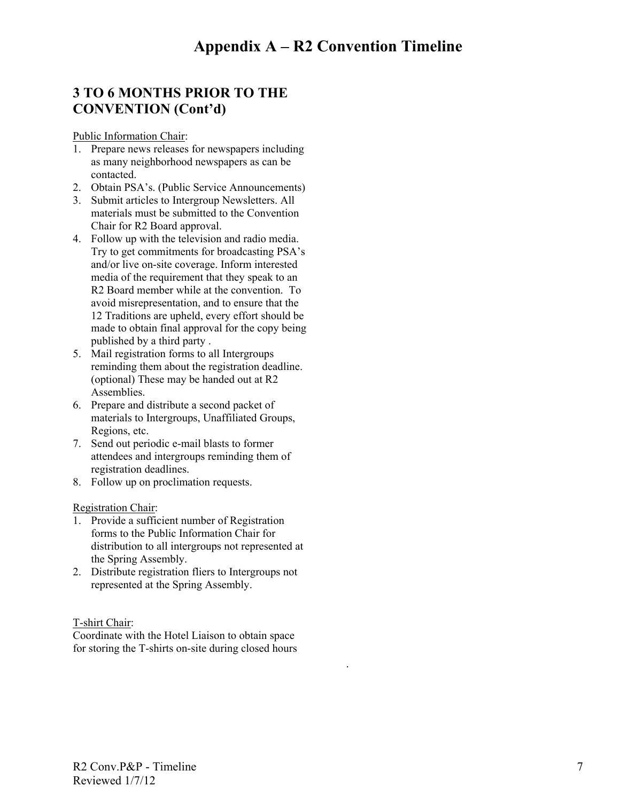.

# **3 TO 6 MONTHS PRIOR TO THE CONVENTION (Cont'd)**

Public Information Chair:

- 1. Prepare news releases for newspapers including as many neighborhood newspapers as can be contacted.
- 2. Obtain PSA's. (Public Service Announcements)
- 3. Submit articles to Intergroup Newsletters. All materials must be submitted to the Convention Chair for R2 Board approval.
- 4. Follow up with the television and radio media. Try to get commitments for broadcasting PSA's and/or live on-site coverage. Inform interested media of the requirement that they speak to an R2 Board member while at the convention. To avoid misrepresentation, and to ensure that the 12 Traditions are upheld, every effort should be made to obtain final approval for the copy being published by a third party .
- 5. Mail registration forms to all Intergroups reminding them about the registration deadline. (optional) These may be handed out at R2 Assemblies.
- 6. Prepare and distribute a second packet of materials to Intergroups, Unaffiliated Groups, Regions, etc.
- 7. Send out periodic e-mail blasts to former attendees and intergroups reminding them of registration deadlines.
- 8. Follow up on proclimation requests.

Registration Chair:

- 1. Provide a sufficient number of Registration forms to the Public Information Chair for distribution to all intergroups not represented at the Spring Assembly.
- 2. Distribute registration fliers to Intergroups not represented at the Spring Assembly.

#### T-shirt Chair:

Coordinate with the Hotel Liaison to obtain space for storing the T-shirts on-site during closed hours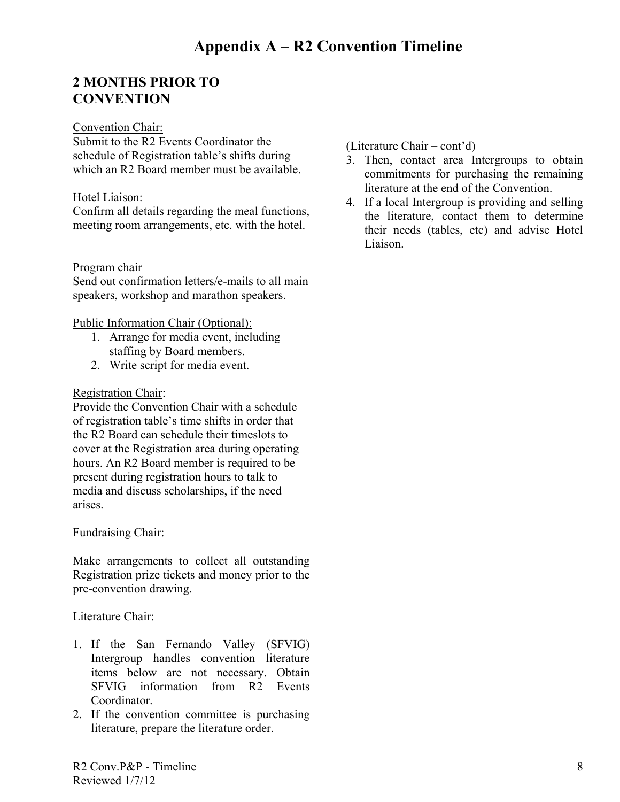# **2 MONTHS PRIOR TO CONVENTION**

#### Convention Chair:

Submit to the R2 Events Coordinator the schedule of Registration table's shifts during which an R<sub>2</sub> Board member must be available.

#### Hotel Liaison:

Confirm all details regarding the meal functions, meeting room arrangements, etc. with the hotel.

#### Program chair

Send out confirmation letters/e-mails to all main speakers, workshop and marathon speakers.

#### Public Information Chair (Optional):

- 1. Arrange for media event, including staffing by Board members.
- 2. Write script for media event.

#### Registration Chair:

Provide the Convention Chair with a schedule of registration table's time shifts in order that the R2 Board can schedule their timeslots to cover at the Registration area during operating hours. An R2 Board member is required to be present during registration hours to talk to media and discuss scholarships, if the need arises.

#### Fundraising Chair:

Make arrangements to collect all outstanding Registration prize tickets and money prior to the pre-convention drawing.

#### Literature Chair:

- 1. If the San Fernando Valley (SFVIG) Intergroup handles convention literature items below are not necessary. Obtain SFVIG information from R2 Events Coordinator.
- 2. If the convention committee is purchasing literature, prepare the literature order.

(Literature Chair – cont'd)

- 3. Then, contact area Intergroups to obtain commitments for purchasing the remaining literature at the end of the Convention.
- 4. If a local Intergroup is providing and selling the literature, contact them to determine their needs (tables, etc) and advise Hotel Liaison.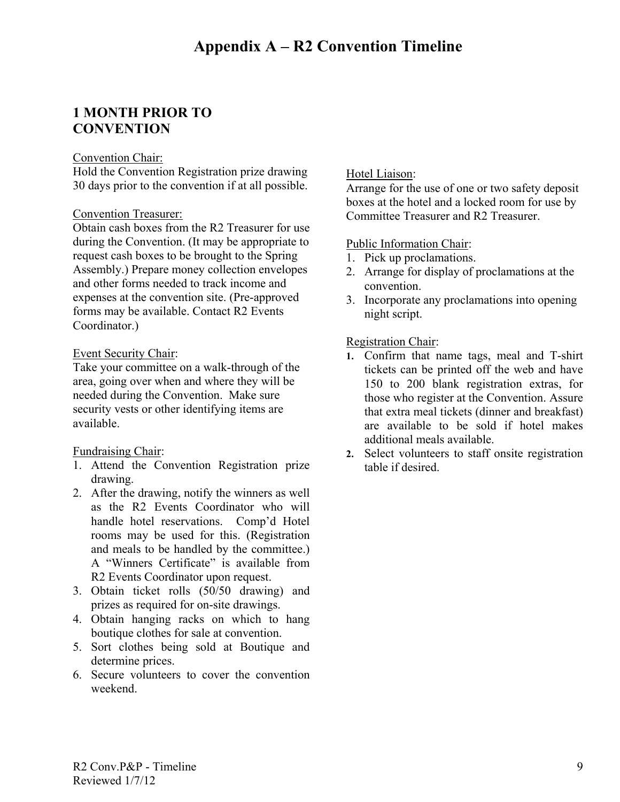### **1 MONTH PRIOR TO CONVENTION**

#### Convention Chair:

Hold the Convention Registration prize drawing 30 days prior to the convention if at all possible.

#### Convention Treasurer:

Obtain cash boxes from the R2 Treasurer for use during the Convention. (It may be appropriate to request cash boxes to be brought to the Spring Assembly.) Prepare money collection envelopes and other forms needed to track income and expenses at the convention site. (Pre-approved forms may be available. Contact R2 Events Coordinator.)

#### Event Security Chair:

Take your committee on a walk-through of the area, going over when and where they will be needed during the Convention. Make sure security vests or other identifying items are available.

#### Fundraising Chair:

- 1. Attend the Convention Registration prize drawing.
- 2. After the drawing, notify the winners as well as the R2 Events Coordinator who will handle hotel reservations. Comp'd Hotel rooms may be used for this. (Registration and meals to be handled by the committee.) A "Winners Certificate" is available from R2 Events Coordinator upon request.
- 3. Obtain ticket rolls (50/50 drawing) and prizes as required for on-site drawings.
- 4. Obtain hanging racks on which to hang boutique clothes for sale at convention.
- 5. Sort clothes being sold at Boutique and determine prices.
- 6. Secure volunteers to cover the convention weekend.

#### Hotel Liaison:

Arrange for the use of one or two safety deposit boxes at the hotel and a locked room for use by Committee Treasurer and R2 Treasurer.

#### Public Information Chair:

- 1. Pick up proclamations.
- 2. Arrange for display of proclamations at the convention.
- 3. Incorporate any proclamations into opening night script.

#### Registration Chair:

- **1.** Confirm that name tags, meal and T-shirt tickets can be printed off the web and have 150 to 200 blank registration extras, for those who register at the Convention. Assure that extra meal tickets (dinner and breakfast) are available to be sold if hotel makes additional meals available.
- **2.** Select volunteers to staff onsite registration table if desired.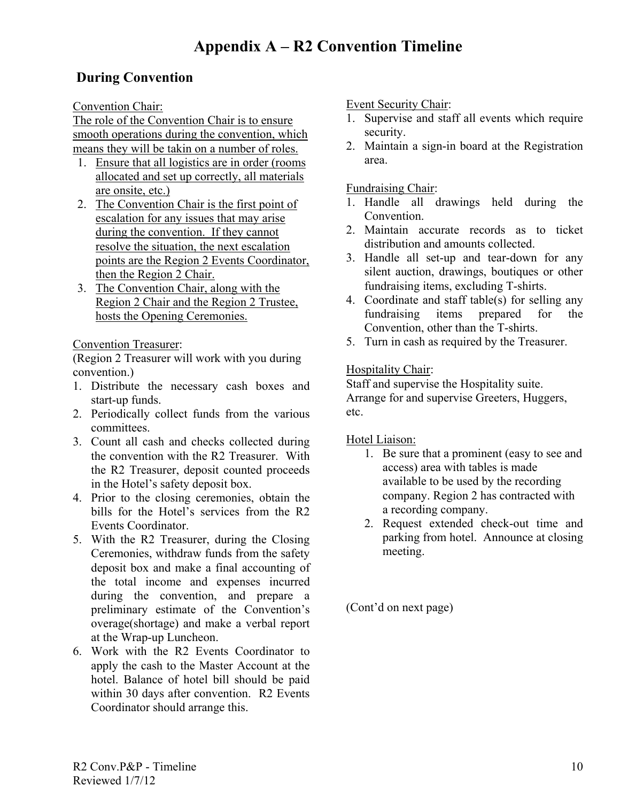# **During Convention**

Convention Chair:

The role of the Convention Chair is to ensure smooth operations during the convention, which means they will be takin on a number of roles.

- 1. Ensure that all logistics are in order (rooms allocated and set up correctly, all materials are onsite, etc.)
- 2. The Convention Chair is the first point of escalation for any issues that may arise during the convention. If they cannot resolve the situation, the next escalation points are the Region 2 Events Coordinator, then the Region 2 Chair.
- 3. The Convention Chair, along with the Region 2 Chair and the Region 2 Trustee, hosts the Opening Ceremonies.

Convention Treasurer:

(Region 2 Treasurer will work with you during convention.)

- 1. Distribute the necessary cash boxes and start-up funds.
- 2. Periodically collect funds from the various committees.
- 3. Count all cash and checks collected during the convention with the R2 Treasurer. With the R2 Treasurer, deposit counted proceeds in the Hotel's safety deposit box.
- 4. Prior to the closing ceremonies, obtain the bills for the Hotel's services from the R2 Events Coordinator.
- 5. With the R2 Treasurer, during the Closing Ceremonies, withdraw funds from the safety deposit box and make a final accounting of the total income and expenses incurred during the convention, and prepare a preliminary estimate of the Convention's overage(shortage) and make a verbal report at the Wrap-up Luncheon.
- 6. Work with the R2 Events Coordinator to apply the cash to the Master Account at the hotel. Balance of hotel bill should be paid within 30 days after convention. R2 Events Coordinator should arrange this.

Event Security Chair:

- 1. Supervise and staff all events which require security.
- 2. Maintain a sign-in board at the Registration area.

Fundraising Chair:

- 1. Handle all drawings held during the Convention.
- 2. Maintain accurate records as to ticket distribution and amounts collected.
- 3. Handle all set-up and tear-down for any silent auction, drawings, boutiques or other fundraising items, excluding T-shirts.
- 4. Coordinate and staff table(s) for selling any fundraising items prepared for the Convention, other than the T-shirts.
- 5. Turn in cash as required by the Treasurer.

Hospitality Chair:

Staff and supervise the Hospitality suite. Arrange for and supervise Greeters, Huggers, etc.

Hotel Liaison:

- 1. Be sure that a prominent (easy to see and access) area with tables is made available to be used by the recording company. Region 2 has contracted with a recording company.
- 2. Request extended check-out time and parking from hotel. Announce at closing meeting.

(Cont'd on next page)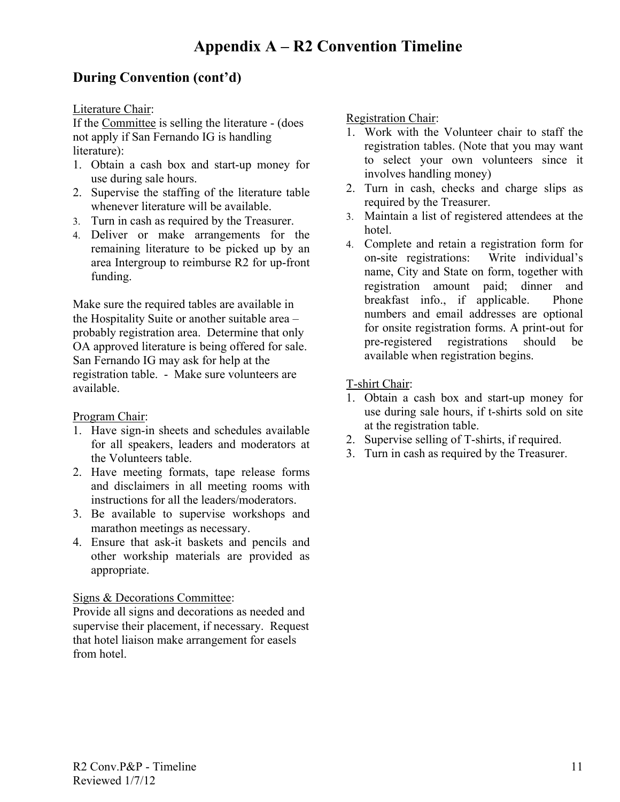### **During Convention (cont'd)**

Literature Chair:

If the Committee is selling the literature - (does not apply if San Fernando IG is handling literature):

- 1. Obtain a cash box and start-up money for use during sale hours.
- 2. Supervise the staffing of the literature table whenever literature will be available.
- 3. Turn in cash as required by the Treasurer.
- 4. Deliver or make arrangements for the remaining literature to be picked up by an area Intergroup to reimburse R2 for up-front funding.

Make sure the required tables are available in the Hospitality Suite or another suitable area – probably registration area. Determine that only OA approved literature is being offered for sale. San Fernando IG may ask for help at the registration table. - Make sure volunteers are available.

#### Program Chair:

- 1. Have sign-in sheets and schedules available for all speakers, leaders and moderators at the Volunteers table.
- 2. Have meeting formats, tape release forms and disclaimers in all meeting rooms with instructions for all the leaders/moderators.
- 3. Be available to supervise workshops and marathon meetings as necessary.
- 4. Ensure that ask-it baskets and pencils and other workship materials are provided as appropriate.

#### Signs & Decorations Committee:

Provide all signs and decorations as needed and supervise their placement, if necessary. Request that hotel liaison make arrangement for easels from hotel.

Registration Chair:

- 1. Work with the Volunteer chair to staff the registration tables. (Note that you may want to select your own volunteers since it involves handling money)
- 2. Turn in cash, checks and charge slips as required by the Treasurer.
- 3. Maintain a list of registered attendees at the hotel.
- 4. Complete and retain a registration form for on-site registrations: Write individual's name, City and State on form, together with registration amount paid; dinner and breakfast info., if applicable. Phone numbers and email addresses are optional for onsite registration forms. A print-out for pre-registered registrations should be available when registration begins.

T-shirt Chair:

- 1. Obtain a cash box and start-up money for use during sale hours, if t-shirts sold on site at the registration table.
- 2. Supervise selling of T-shirts, if required.
- 3. Turn in cash as required by the Treasurer.